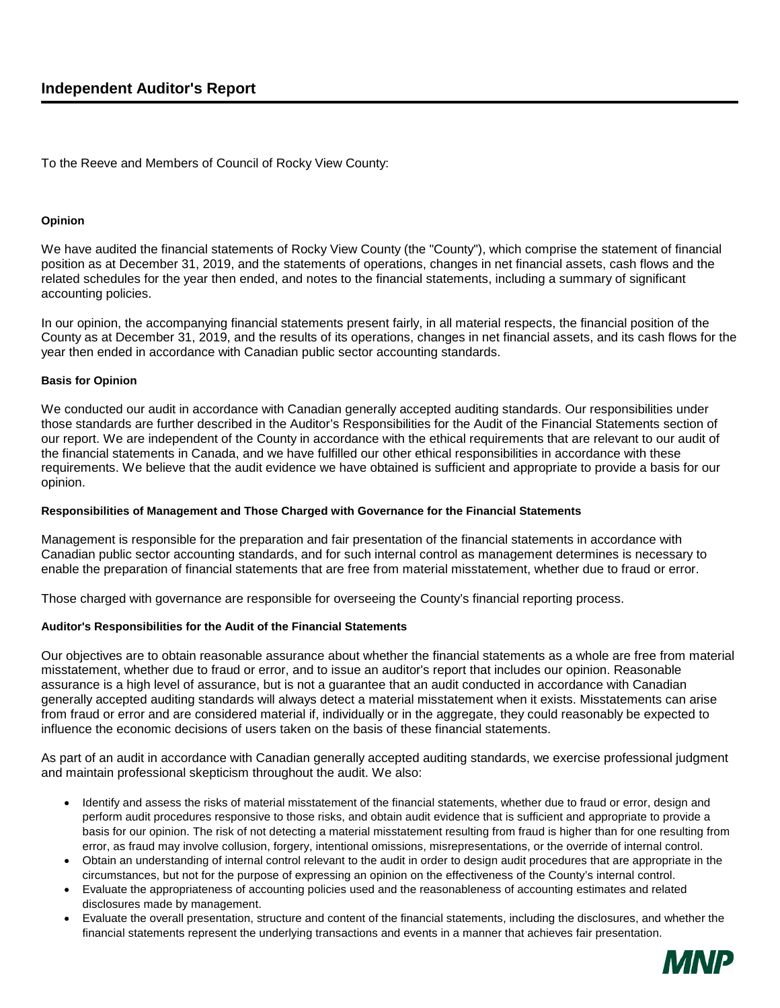To the Reeve and Members of Council of Rocky View County:

#### **Opinion**

We have audited the financial statements of Rocky View County (the "County"), which comprise the statement of financial position as at December 31, 2019, and the statements of operations, changes in net financial assets, cash flows and the related schedules for the year then ended, and notes to the financial statements, including a summary of significant accounting policies.

In our opinion, the accompanying financial statements present fairly, in all material respects, the financial position of the County as at December 31, 2019, and the results of its operations, changes in net financial assets, and its cash flows for the year then ended in accordance with Canadian public sector accounting standards.

#### **Basis for Opinion**

We conducted our audit in accordance with Canadian generally accepted auditing standards. Our responsibilities under those standards are further described in the Auditor's Responsibilities for the Audit of the Financial Statements section of our report. We are independent of the County in accordance with the ethical requirements that are relevant to our audit of the financial statements in Canada, and we have fulfilled our other ethical responsibilities in accordance with these requirements. We believe that the audit evidence we have obtained is sufficient and appropriate to provide a basis for our opinion.

#### **Responsibilities of Management and Those Charged with Governance for the Financial Statements**

Management is responsible for the preparation and fair presentation of the financial statements in accordance with Canadian public sector accounting standards, and for such internal control as management determines is necessary to enable the preparation of financial statements that are free from material misstatement, whether due to fraud or error.

Those charged with governance are responsible for overseeing the County's financial reporting process.

#### **Auditor's Responsibilities for the Audit of the Financial Statements**

Our objectives are to obtain reasonable assurance about whether the financial statements as a whole are free from material misstatement, whether due to fraud or error, and to issue an auditor's report that includes our opinion. Reasonable assurance is a high level of assurance, but is not a guarantee that an audit conducted in accordance with Canadian generally accepted auditing standards will always detect a material misstatement when it exists. Misstatements can arise from fraud or error and are considered material if, individually or in the aggregate, they could reasonably be expected to influence the economic decisions of users taken on the basis of these financial statements.

As part of an audit in accordance with Canadian generally accepted auditing standards, we exercise professional judgment and maintain professional skepticism throughout the audit. We also:

- Identify and assess the risks of material misstatement of the financial statements, whether due to fraud or error, design and perform audit procedures responsive to those risks, and obtain audit evidence that is sufficient and appropriate to provide a basis for our opinion. The risk of not detecting a material misstatement resulting from fraud is higher than for one resulting from error, as fraud may involve collusion, forgery, intentional omissions, misrepresentations, or the override of internal control.
- Obtain an understanding of internal control relevant to the audit in order to design audit procedures that are appropriate in the circumstances, but not for the purpose of expressing an opinion on the effectiveness of the County's internal control.
- Evaluate the appropriateness of accounting policies used and the reasonableness of accounting estimates and related disclosures made by management.
- Evaluate the overall presentation, structure and content of the financial statements, including the disclosures, and whether the financial statements represent the underlying transactions and events in a manner that achieves fair presentation.

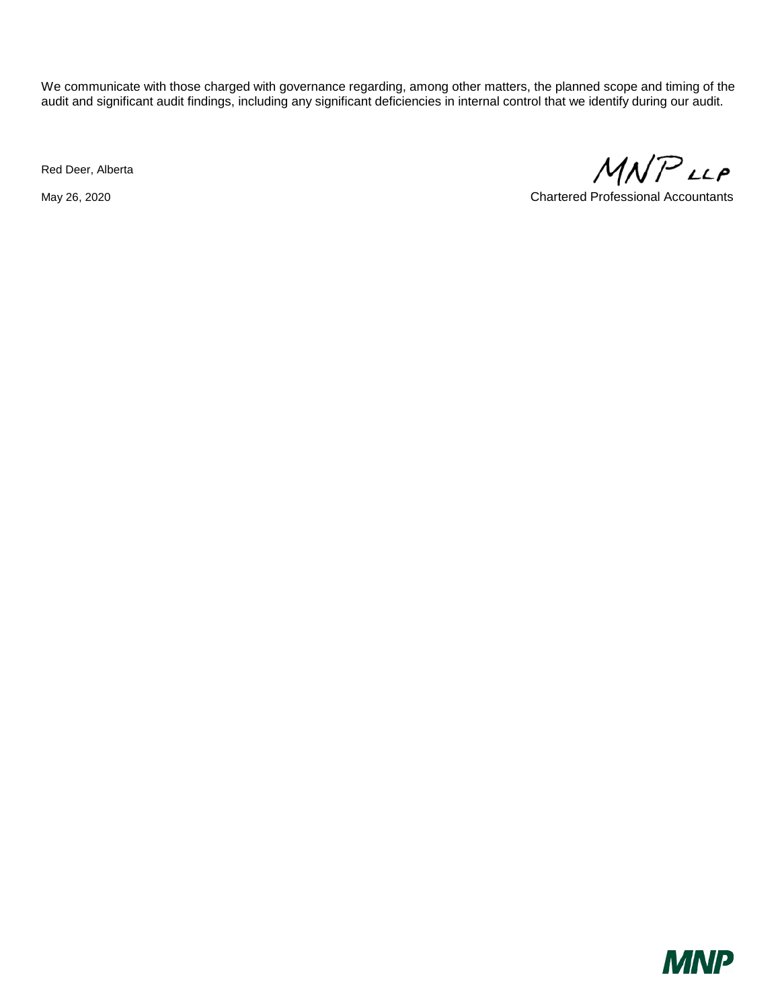We communicate with those charged with governance regarding, among other matters, the planned scope and timing of the audit and significant audit findings, including any significant deficiencies in internal control that we identify during our audit.

Red Deer, Alberta

MNPLLP

May 26, 2020 Chartered Professional Accountants

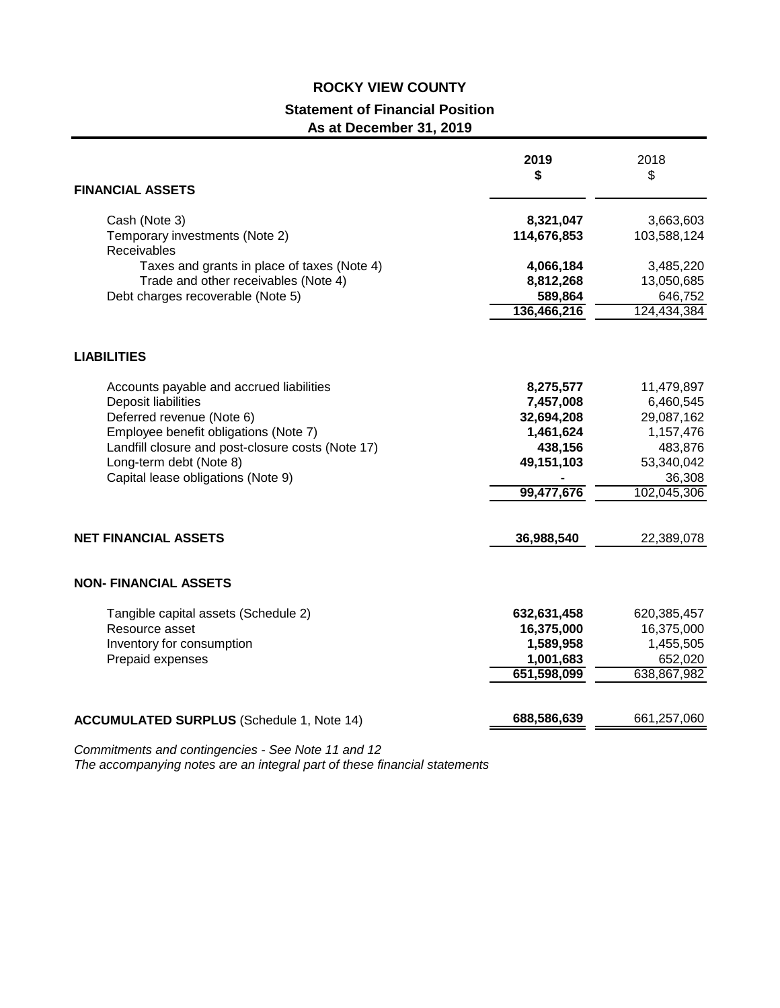# **ROCKY VIEW COUNTY Statement of Financial Position As at December 31, 2019**

| <b>FINANCIAL ASSETS</b>                                               | 2019<br>\$               | 2018<br>\$               |
|-----------------------------------------------------------------------|--------------------------|--------------------------|
|                                                                       |                          |                          |
| Cash (Note 3)<br>Temporary investments (Note 2)<br><b>Receivables</b> | 8,321,047<br>114,676,853 | 3,663,603<br>103,588,124 |
| Taxes and grants in place of taxes (Note 4)                           | 4,066,184                | 3,485,220                |
| Trade and other receivables (Note 4)                                  | 8,812,268                | 13,050,685               |
| Debt charges recoverable (Note 5)                                     | 589,864                  | 646,752                  |
|                                                                       | 136,466,216              | 124,434,384              |
| <b>LIABILITIES</b>                                                    |                          |                          |
| Accounts payable and accrued liabilities                              | 8,275,577                | 11,479,897               |
| Deposit liabilities                                                   | 7,457,008                | 6,460,545                |
| Deferred revenue (Note 6)                                             | 32,694,208               | 29,087,162               |
| Employee benefit obligations (Note 7)                                 | 1,461,624                | 1,157,476                |
| Landfill closure and post-closure costs (Note 17)                     | 438,156                  | 483,876                  |
| Long-term debt (Note 8)                                               | 49,151,103               | 53,340,042               |
| Capital lease obligations (Note 9)                                    |                          | 36,308                   |
|                                                                       | 99,477,676               | 102,045,306              |
| <b>NET FINANCIAL ASSETS</b>                                           | 36,988,540               | 22,389,078               |
| <b>NON- FINANCIAL ASSETS</b>                                          |                          |                          |
| Tangible capital assets (Schedule 2)                                  | 632,631,458              | 620,385,457              |
| Resource asset                                                        | 16,375,000               | 16,375,000               |
| Inventory for consumption                                             | 1,589,958                | 1,455,505                |
| Prepaid expenses                                                      | 1,001,683                | 652,020                  |
|                                                                       | 651,598,099              | 638,867,982              |
|                                                                       |                          |                          |
| <b>ACCUMULATED SURPLUS (Schedule 1, Note 14)</b>                      | 688,586,639              | 661,257,060              |

*Commitments and contingencies - See Note 11 and 12*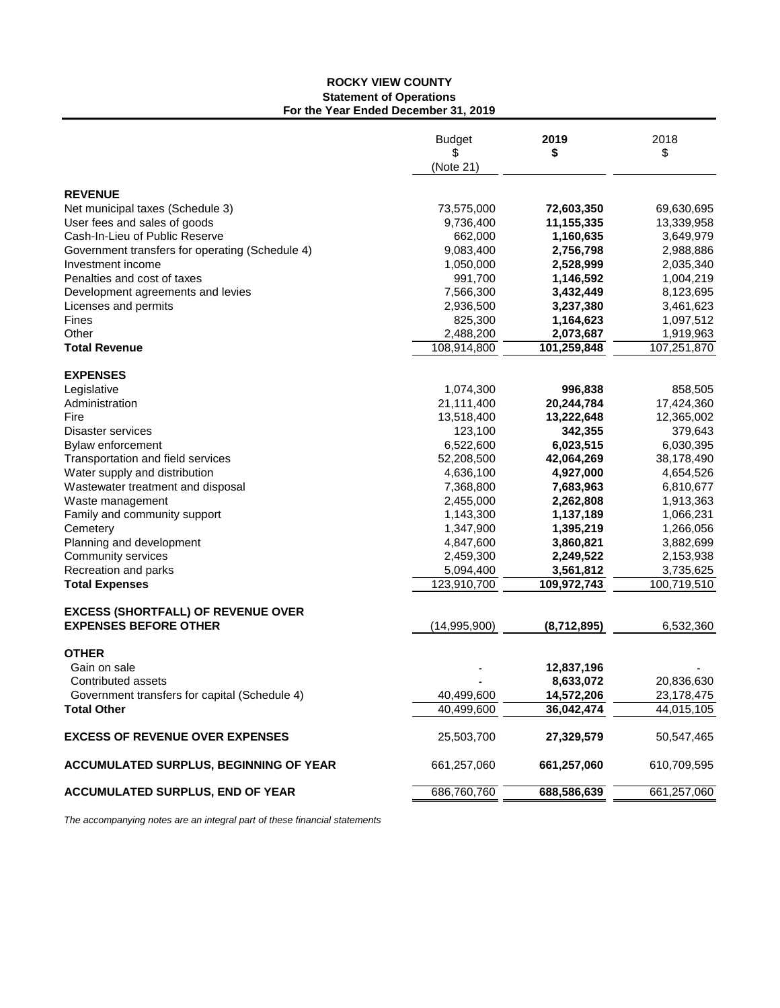#### **ROCKY VIEW COUNTY Statement of Operations For the Year Ended December 31, 2019**

| (Note 21)<br><b>REVENUE</b><br>Net municipal taxes (Schedule 3)<br>73,575,000<br>72,603,350<br>69,630,695<br>User fees and sales of goods<br>11,155,335<br>13,339,958<br>9,736,400<br>Cash-In-Lieu of Public Reserve<br>662,000<br>1,160,635<br>3,649,979<br>Government transfers for operating (Schedule 4)<br>9,083,400<br>2,756,798<br>2,988,886<br>Investment income<br>2,528,999<br>1,050,000<br>2,035,340<br>Penalties and cost of taxes<br>991,700<br>1,146,592<br>1,004,219<br>7,566,300<br>3,432,449<br>8,123,695<br>Development agreements and levies<br>2,936,500<br>3,237,380<br>3,461,623<br>Licenses and permits<br><b>Fines</b><br>825,300<br>1,164,623<br>1,097,512<br>Other<br>2,488,200<br>2,073,687<br>1,919,963<br><b>Total Revenue</b><br>108,914,800<br>101,259,848<br><b>EXPENSES</b><br>Legislative<br>1,074,300<br>996,838<br>858,505<br>Administration<br>21,111,400<br>20,244,784<br>17,424,360<br>Fire<br>13,518,400<br>13,222,648<br>12,365,002<br>123,100<br>342,355<br>379,643<br>Disaster services<br>6,522,600<br>Bylaw enforcement<br>6,023,515<br>6,030,395<br>Transportation and field services<br>52,208,500<br>38,178,490<br>42,064,269<br>Water supply and distribution<br>4,636,100<br>4,927,000<br>4,654,526<br>Wastewater treatment and disposal<br>7,368,800<br>6,810,677<br>7,683,963<br>2,455,000<br>2,262,808<br>1,913,363<br>Waste management<br>1,143,300<br>1,066,231<br>Family and community support<br>1,137,189<br>Cemetery<br>1,347,900<br>1,395,219<br>1,266,056<br>Planning and development<br>4,847,600<br>3,860,821<br>3,882,699<br>Community services<br>2,459,300<br>2,249,522<br>2,153,938<br>Recreation and parks<br>5,094,400<br>3,735,625<br>3,561,812<br>123,910,700<br><b>Total Expenses</b><br>109,972,743<br><b>EXCESS (SHORTFALL) OF REVENUE OVER</b><br><b>EXPENSES BEFORE OTHER</b><br>(14, 995, 900)<br>(8,712,895)<br><b>OTHER</b><br>Gain on sale<br>12,837,196<br>Contributed assets<br>8,633,072<br>Government transfers for capital (Schedule 4)<br>40,499,600<br>14,572,206<br><b>Total Other</b><br>40,499,600<br>36,042,474<br><b>EXCESS OF REVENUE OVER EXPENSES</b><br>25,503,700<br>27,329,579<br>ACCUMULATED SURPLUS, BEGINNING OF YEAR<br>661,257,060<br>661,257,060<br><b>ACCUMULATED SURPLUS, END OF YEAR</b><br>686,760,760<br>688,586,639 | <b>Budget</b> | 2019 | 2018        |
|-----------------------------------------------------------------------------------------------------------------------------------------------------------------------------------------------------------------------------------------------------------------------------------------------------------------------------------------------------------------------------------------------------------------------------------------------------------------------------------------------------------------------------------------------------------------------------------------------------------------------------------------------------------------------------------------------------------------------------------------------------------------------------------------------------------------------------------------------------------------------------------------------------------------------------------------------------------------------------------------------------------------------------------------------------------------------------------------------------------------------------------------------------------------------------------------------------------------------------------------------------------------------------------------------------------------------------------------------------------------------------------------------------------------------------------------------------------------------------------------------------------------------------------------------------------------------------------------------------------------------------------------------------------------------------------------------------------------------------------------------------------------------------------------------------------------------------------------------------------------------------------------------------------------------------------------------------------------------------------------------------------------------------------------------------------------------------------------------------------------------------------------------------------------------------------------------------------------------------------------------------------------------------------------------------------------------------------|---------------|------|-------------|
|                                                                                                                                                                                                                                                                                                                                                                                                                                                                                                                                                                                                                                                                                                                                                                                                                                                                                                                                                                                                                                                                                                                                                                                                                                                                                                                                                                                                                                                                                                                                                                                                                                                                                                                                                                                                                                                                                                                                                                                                                                                                                                                                                                                                                                                                                                                                   | \$            | \$   | \$          |
|                                                                                                                                                                                                                                                                                                                                                                                                                                                                                                                                                                                                                                                                                                                                                                                                                                                                                                                                                                                                                                                                                                                                                                                                                                                                                                                                                                                                                                                                                                                                                                                                                                                                                                                                                                                                                                                                                                                                                                                                                                                                                                                                                                                                                                                                                                                                   |               |      |             |
|                                                                                                                                                                                                                                                                                                                                                                                                                                                                                                                                                                                                                                                                                                                                                                                                                                                                                                                                                                                                                                                                                                                                                                                                                                                                                                                                                                                                                                                                                                                                                                                                                                                                                                                                                                                                                                                                                                                                                                                                                                                                                                                                                                                                                                                                                                                                   |               |      |             |
|                                                                                                                                                                                                                                                                                                                                                                                                                                                                                                                                                                                                                                                                                                                                                                                                                                                                                                                                                                                                                                                                                                                                                                                                                                                                                                                                                                                                                                                                                                                                                                                                                                                                                                                                                                                                                                                                                                                                                                                                                                                                                                                                                                                                                                                                                                                                   |               |      |             |
|                                                                                                                                                                                                                                                                                                                                                                                                                                                                                                                                                                                                                                                                                                                                                                                                                                                                                                                                                                                                                                                                                                                                                                                                                                                                                                                                                                                                                                                                                                                                                                                                                                                                                                                                                                                                                                                                                                                                                                                                                                                                                                                                                                                                                                                                                                                                   |               |      |             |
|                                                                                                                                                                                                                                                                                                                                                                                                                                                                                                                                                                                                                                                                                                                                                                                                                                                                                                                                                                                                                                                                                                                                                                                                                                                                                                                                                                                                                                                                                                                                                                                                                                                                                                                                                                                                                                                                                                                                                                                                                                                                                                                                                                                                                                                                                                                                   |               |      |             |
|                                                                                                                                                                                                                                                                                                                                                                                                                                                                                                                                                                                                                                                                                                                                                                                                                                                                                                                                                                                                                                                                                                                                                                                                                                                                                                                                                                                                                                                                                                                                                                                                                                                                                                                                                                                                                                                                                                                                                                                                                                                                                                                                                                                                                                                                                                                                   |               |      |             |
|                                                                                                                                                                                                                                                                                                                                                                                                                                                                                                                                                                                                                                                                                                                                                                                                                                                                                                                                                                                                                                                                                                                                                                                                                                                                                                                                                                                                                                                                                                                                                                                                                                                                                                                                                                                                                                                                                                                                                                                                                                                                                                                                                                                                                                                                                                                                   |               |      |             |
|                                                                                                                                                                                                                                                                                                                                                                                                                                                                                                                                                                                                                                                                                                                                                                                                                                                                                                                                                                                                                                                                                                                                                                                                                                                                                                                                                                                                                                                                                                                                                                                                                                                                                                                                                                                                                                                                                                                                                                                                                                                                                                                                                                                                                                                                                                                                   |               |      |             |
|                                                                                                                                                                                                                                                                                                                                                                                                                                                                                                                                                                                                                                                                                                                                                                                                                                                                                                                                                                                                                                                                                                                                                                                                                                                                                                                                                                                                                                                                                                                                                                                                                                                                                                                                                                                                                                                                                                                                                                                                                                                                                                                                                                                                                                                                                                                                   |               |      |             |
|                                                                                                                                                                                                                                                                                                                                                                                                                                                                                                                                                                                                                                                                                                                                                                                                                                                                                                                                                                                                                                                                                                                                                                                                                                                                                                                                                                                                                                                                                                                                                                                                                                                                                                                                                                                                                                                                                                                                                                                                                                                                                                                                                                                                                                                                                                                                   |               |      |             |
|                                                                                                                                                                                                                                                                                                                                                                                                                                                                                                                                                                                                                                                                                                                                                                                                                                                                                                                                                                                                                                                                                                                                                                                                                                                                                                                                                                                                                                                                                                                                                                                                                                                                                                                                                                                                                                                                                                                                                                                                                                                                                                                                                                                                                                                                                                                                   |               |      |             |
|                                                                                                                                                                                                                                                                                                                                                                                                                                                                                                                                                                                                                                                                                                                                                                                                                                                                                                                                                                                                                                                                                                                                                                                                                                                                                                                                                                                                                                                                                                                                                                                                                                                                                                                                                                                                                                                                                                                                                                                                                                                                                                                                                                                                                                                                                                                                   |               |      | 107,251,870 |
|                                                                                                                                                                                                                                                                                                                                                                                                                                                                                                                                                                                                                                                                                                                                                                                                                                                                                                                                                                                                                                                                                                                                                                                                                                                                                                                                                                                                                                                                                                                                                                                                                                                                                                                                                                                                                                                                                                                                                                                                                                                                                                                                                                                                                                                                                                                                   |               |      |             |
|                                                                                                                                                                                                                                                                                                                                                                                                                                                                                                                                                                                                                                                                                                                                                                                                                                                                                                                                                                                                                                                                                                                                                                                                                                                                                                                                                                                                                                                                                                                                                                                                                                                                                                                                                                                                                                                                                                                                                                                                                                                                                                                                                                                                                                                                                                                                   |               |      |             |
|                                                                                                                                                                                                                                                                                                                                                                                                                                                                                                                                                                                                                                                                                                                                                                                                                                                                                                                                                                                                                                                                                                                                                                                                                                                                                                                                                                                                                                                                                                                                                                                                                                                                                                                                                                                                                                                                                                                                                                                                                                                                                                                                                                                                                                                                                                                                   |               |      |             |
|                                                                                                                                                                                                                                                                                                                                                                                                                                                                                                                                                                                                                                                                                                                                                                                                                                                                                                                                                                                                                                                                                                                                                                                                                                                                                                                                                                                                                                                                                                                                                                                                                                                                                                                                                                                                                                                                                                                                                                                                                                                                                                                                                                                                                                                                                                                                   |               |      |             |
|                                                                                                                                                                                                                                                                                                                                                                                                                                                                                                                                                                                                                                                                                                                                                                                                                                                                                                                                                                                                                                                                                                                                                                                                                                                                                                                                                                                                                                                                                                                                                                                                                                                                                                                                                                                                                                                                                                                                                                                                                                                                                                                                                                                                                                                                                                                                   |               |      |             |
|                                                                                                                                                                                                                                                                                                                                                                                                                                                                                                                                                                                                                                                                                                                                                                                                                                                                                                                                                                                                                                                                                                                                                                                                                                                                                                                                                                                                                                                                                                                                                                                                                                                                                                                                                                                                                                                                                                                                                                                                                                                                                                                                                                                                                                                                                                                                   |               |      |             |
|                                                                                                                                                                                                                                                                                                                                                                                                                                                                                                                                                                                                                                                                                                                                                                                                                                                                                                                                                                                                                                                                                                                                                                                                                                                                                                                                                                                                                                                                                                                                                                                                                                                                                                                                                                                                                                                                                                                                                                                                                                                                                                                                                                                                                                                                                                                                   |               |      |             |
|                                                                                                                                                                                                                                                                                                                                                                                                                                                                                                                                                                                                                                                                                                                                                                                                                                                                                                                                                                                                                                                                                                                                                                                                                                                                                                                                                                                                                                                                                                                                                                                                                                                                                                                                                                                                                                                                                                                                                                                                                                                                                                                                                                                                                                                                                                                                   |               |      |             |
|                                                                                                                                                                                                                                                                                                                                                                                                                                                                                                                                                                                                                                                                                                                                                                                                                                                                                                                                                                                                                                                                                                                                                                                                                                                                                                                                                                                                                                                                                                                                                                                                                                                                                                                                                                                                                                                                                                                                                                                                                                                                                                                                                                                                                                                                                                                                   |               |      |             |
|                                                                                                                                                                                                                                                                                                                                                                                                                                                                                                                                                                                                                                                                                                                                                                                                                                                                                                                                                                                                                                                                                                                                                                                                                                                                                                                                                                                                                                                                                                                                                                                                                                                                                                                                                                                                                                                                                                                                                                                                                                                                                                                                                                                                                                                                                                                                   |               |      |             |
|                                                                                                                                                                                                                                                                                                                                                                                                                                                                                                                                                                                                                                                                                                                                                                                                                                                                                                                                                                                                                                                                                                                                                                                                                                                                                                                                                                                                                                                                                                                                                                                                                                                                                                                                                                                                                                                                                                                                                                                                                                                                                                                                                                                                                                                                                                                                   |               |      |             |
|                                                                                                                                                                                                                                                                                                                                                                                                                                                                                                                                                                                                                                                                                                                                                                                                                                                                                                                                                                                                                                                                                                                                                                                                                                                                                                                                                                                                                                                                                                                                                                                                                                                                                                                                                                                                                                                                                                                                                                                                                                                                                                                                                                                                                                                                                                                                   |               |      |             |
|                                                                                                                                                                                                                                                                                                                                                                                                                                                                                                                                                                                                                                                                                                                                                                                                                                                                                                                                                                                                                                                                                                                                                                                                                                                                                                                                                                                                                                                                                                                                                                                                                                                                                                                                                                                                                                                                                                                                                                                                                                                                                                                                                                                                                                                                                                                                   |               |      |             |
|                                                                                                                                                                                                                                                                                                                                                                                                                                                                                                                                                                                                                                                                                                                                                                                                                                                                                                                                                                                                                                                                                                                                                                                                                                                                                                                                                                                                                                                                                                                                                                                                                                                                                                                                                                                                                                                                                                                                                                                                                                                                                                                                                                                                                                                                                                                                   |               |      |             |
|                                                                                                                                                                                                                                                                                                                                                                                                                                                                                                                                                                                                                                                                                                                                                                                                                                                                                                                                                                                                                                                                                                                                                                                                                                                                                                                                                                                                                                                                                                                                                                                                                                                                                                                                                                                                                                                                                                                                                                                                                                                                                                                                                                                                                                                                                                                                   |               |      |             |
|                                                                                                                                                                                                                                                                                                                                                                                                                                                                                                                                                                                                                                                                                                                                                                                                                                                                                                                                                                                                                                                                                                                                                                                                                                                                                                                                                                                                                                                                                                                                                                                                                                                                                                                                                                                                                                                                                                                                                                                                                                                                                                                                                                                                                                                                                                                                   |               |      | 100,719,510 |
|                                                                                                                                                                                                                                                                                                                                                                                                                                                                                                                                                                                                                                                                                                                                                                                                                                                                                                                                                                                                                                                                                                                                                                                                                                                                                                                                                                                                                                                                                                                                                                                                                                                                                                                                                                                                                                                                                                                                                                                                                                                                                                                                                                                                                                                                                                                                   |               |      |             |
|                                                                                                                                                                                                                                                                                                                                                                                                                                                                                                                                                                                                                                                                                                                                                                                                                                                                                                                                                                                                                                                                                                                                                                                                                                                                                                                                                                                                                                                                                                                                                                                                                                                                                                                                                                                                                                                                                                                                                                                                                                                                                                                                                                                                                                                                                                                                   |               |      | 6,532,360   |
|                                                                                                                                                                                                                                                                                                                                                                                                                                                                                                                                                                                                                                                                                                                                                                                                                                                                                                                                                                                                                                                                                                                                                                                                                                                                                                                                                                                                                                                                                                                                                                                                                                                                                                                                                                                                                                                                                                                                                                                                                                                                                                                                                                                                                                                                                                                                   |               |      |             |
|                                                                                                                                                                                                                                                                                                                                                                                                                                                                                                                                                                                                                                                                                                                                                                                                                                                                                                                                                                                                                                                                                                                                                                                                                                                                                                                                                                                                                                                                                                                                                                                                                                                                                                                                                                                                                                                                                                                                                                                                                                                                                                                                                                                                                                                                                                                                   |               |      |             |
|                                                                                                                                                                                                                                                                                                                                                                                                                                                                                                                                                                                                                                                                                                                                                                                                                                                                                                                                                                                                                                                                                                                                                                                                                                                                                                                                                                                                                                                                                                                                                                                                                                                                                                                                                                                                                                                                                                                                                                                                                                                                                                                                                                                                                                                                                                                                   |               |      | 20,836,630  |
|                                                                                                                                                                                                                                                                                                                                                                                                                                                                                                                                                                                                                                                                                                                                                                                                                                                                                                                                                                                                                                                                                                                                                                                                                                                                                                                                                                                                                                                                                                                                                                                                                                                                                                                                                                                                                                                                                                                                                                                                                                                                                                                                                                                                                                                                                                                                   |               |      | 23,178,475  |
|                                                                                                                                                                                                                                                                                                                                                                                                                                                                                                                                                                                                                                                                                                                                                                                                                                                                                                                                                                                                                                                                                                                                                                                                                                                                                                                                                                                                                                                                                                                                                                                                                                                                                                                                                                                                                                                                                                                                                                                                                                                                                                                                                                                                                                                                                                                                   |               |      | 44,015,105  |
|                                                                                                                                                                                                                                                                                                                                                                                                                                                                                                                                                                                                                                                                                                                                                                                                                                                                                                                                                                                                                                                                                                                                                                                                                                                                                                                                                                                                                                                                                                                                                                                                                                                                                                                                                                                                                                                                                                                                                                                                                                                                                                                                                                                                                                                                                                                                   |               |      | 50,547,465  |
|                                                                                                                                                                                                                                                                                                                                                                                                                                                                                                                                                                                                                                                                                                                                                                                                                                                                                                                                                                                                                                                                                                                                                                                                                                                                                                                                                                                                                                                                                                                                                                                                                                                                                                                                                                                                                                                                                                                                                                                                                                                                                                                                                                                                                                                                                                                                   |               |      | 610,709,595 |
|                                                                                                                                                                                                                                                                                                                                                                                                                                                                                                                                                                                                                                                                                                                                                                                                                                                                                                                                                                                                                                                                                                                                                                                                                                                                                                                                                                                                                                                                                                                                                                                                                                                                                                                                                                                                                                                                                                                                                                                                                                                                                                                                                                                                                                                                                                                                   |               |      | 661,257,060 |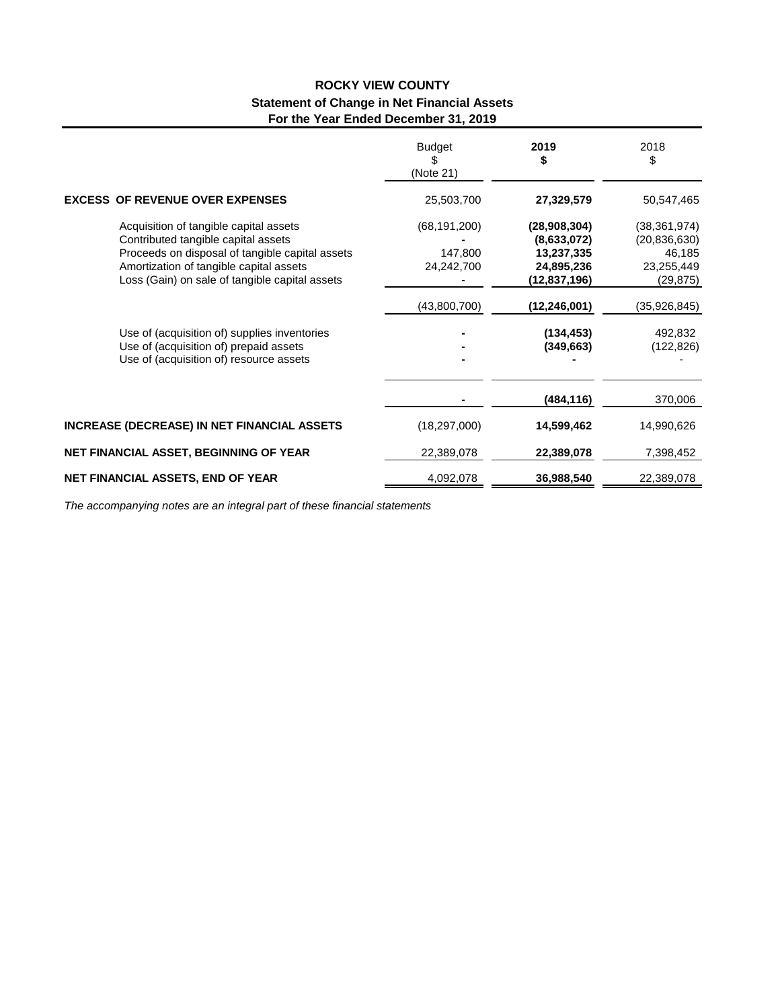## **ROCKY VIEW COUNTY Statement of Change in Net Financial Assets For the Year Ended December 31, 2019**

|                                                                                                                                                                                                                               | <b>Budget</b><br>Ъ<br>(Note 21)         | 2019<br>\$                                                              | 2018<br>\$                                                            |
|-------------------------------------------------------------------------------------------------------------------------------------------------------------------------------------------------------------------------------|-----------------------------------------|-------------------------------------------------------------------------|-----------------------------------------------------------------------|
| <b>EXCESS OF REVENUE OVER EXPENSES</b>                                                                                                                                                                                        | 25,503,700                              | 27,329,579                                                              | 50,547,465                                                            |
| Acquisition of tangible capital assets<br>Contributed tangible capital assets<br>Proceeds on disposal of tangible capital assets<br>Amortization of tangible capital assets<br>Loss (Gain) on sale of tangible capital assets | (68, 191, 200)<br>147,800<br>24,242,700 | (28,908,304)<br>(8,633,072)<br>13,237,335<br>24,895,236<br>(12,837,196) | (38, 361, 974)<br>(20, 836, 630)<br>46,185<br>23,255,449<br>(29, 875) |
|                                                                                                                                                                                                                               | (43,800,700)                            | (12,246,001)                                                            | (35,926,845)                                                          |
| Use of (acquisition of) supplies inventories<br>Use of (acquisition of) prepaid assets<br>Use of (acquisition of) resource assets                                                                                             |                                         | (134, 453)<br>(349, 663)                                                | 492,832<br>(122, 826)                                                 |
|                                                                                                                                                                                                                               |                                         | (484, 116)                                                              | 370,006                                                               |
| <b>INCREASE (DECREASE) IN NET FINANCIAL ASSETS</b>                                                                                                                                                                            | (18, 297, 000)                          | 14,599,462                                                              | 14,990,626                                                            |
| NET FINANCIAL ASSET, BEGINNING OF YEAR                                                                                                                                                                                        | 22,389,078                              | 22,389,078                                                              | 7,398,452                                                             |
| <b>NET FINANCIAL ASSETS, END OF YEAR</b>                                                                                                                                                                                      | 4,092,078                               | 36,988,540                                                              | 22,389,078                                                            |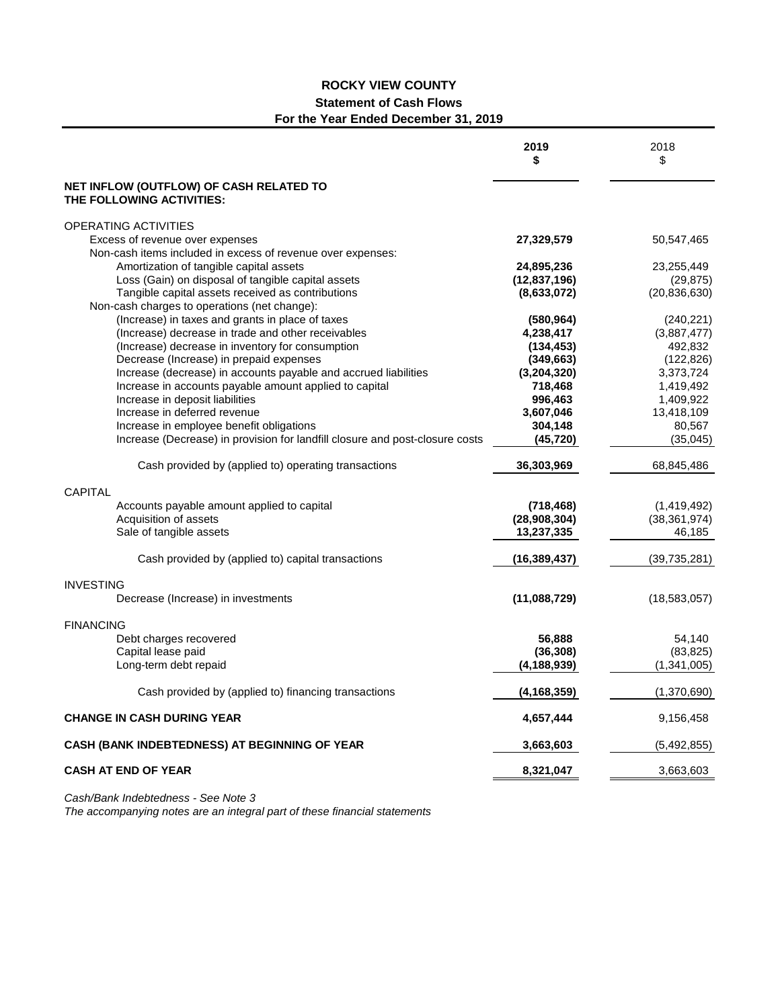# **ROCKY VIEW COUNTY Statement of Cash Flows For the Year Ended December 31, 2019**

|                                                                                                  | 2019<br>\$              | 2018<br>\$                |
|--------------------------------------------------------------------------------------------------|-------------------------|---------------------------|
| NET INFLOW (OUTFLOW) OF CASH RELATED TO<br>THE FOLLOWING ACTIVITIES:                             |                         |                           |
| OPERATING ACTIVITIES                                                                             |                         |                           |
| Excess of revenue over expenses                                                                  | 27,329,579              | 50,547,465                |
| Non-cash items included in excess of revenue over expenses:                                      |                         |                           |
| Amortization of tangible capital assets                                                          | 24,895,236              | 23,255,449                |
| Loss (Gain) on disposal of tangible capital assets                                               | (12, 837, 196)          | (29, 875)                 |
| Tangible capital assets received as contributions                                                | (8,633,072)             | (20, 836, 630)            |
| Non-cash charges to operations (net change):<br>(Increase) in taxes and grants in place of taxes |                         |                           |
| (Increase) decrease in trade and other receivables                                               | (580, 964)<br>4,238,417 | (240, 221)<br>(3,887,477) |
| (Increase) decrease in inventory for consumption                                                 | (134, 453)              | 492,832                   |
| Decrease (Increase) in prepaid expenses                                                          | (349, 663)              | (122, 826)                |
| Increase (decrease) in accounts payable and accrued liabilities                                  | (3,204,320)             | 3,373,724                 |
| Increase in accounts payable amount applied to capital                                           | 718,468                 | 1,419,492                 |
| Increase in deposit liabilities                                                                  | 996,463                 | 1,409,922                 |
| Increase in deferred revenue                                                                     | 3,607,046               | 13,418,109                |
| Increase in employee benefit obligations                                                         | 304,148                 | 80,567                    |
| Increase (Decrease) in provision for landfill closure and post-closure costs                     | (45, 720)               | (35,045)                  |
| Cash provided by (applied to) operating transactions                                             | 36,303,969              | 68,845,486                |
| <b>CAPITAL</b>                                                                                   |                         |                           |
| Accounts payable amount applied to capital                                                       | (718, 468)              | (1,419,492)               |
| Acquisition of assets                                                                            | (28,908,304)            | (38, 361, 974)            |
| Sale of tangible assets                                                                          | 13,237,335              | 46,185                    |
| Cash provided by (applied to) capital transactions                                               | (16, 389, 437)          | (39, 735, 281)            |
| <b>INVESTING</b>                                                                                 |                         |                           |
| Decrease (Increase) in investments                                                               | (11,088,729)            | (18,583,057)              |
| <b>FINANCING</b>                                                                                 |                         |                           |
| Debt charges recovered                                                                           | 56,888                  | 54.140                    |
| Capital lease paid                                                                               | (36, 308)               | (83, 825)                 |
| Long-term debt repaid                                                                            | (4, 188, 939)           | (1,341,005)               |
| Cash provided by (applied to) financing transactions                                             | (4, 168, 359)           | (1,370,690)               |
| <b>CHANGE IN CASH DURING YEAR</b>                                                                | 4,657,444               | 9,156,458                 |
| CASH (BANK INDEBTEDNESS) AT BEGINNING OF YEAR                                                    | 3,663,603               | (5,492,855)               |
| <b>CASH AT END OF YEAR</b>                                                                       | 8,321,047               | 3,663,603                 |

*Cash/Bank Indebtedness - See Note 3*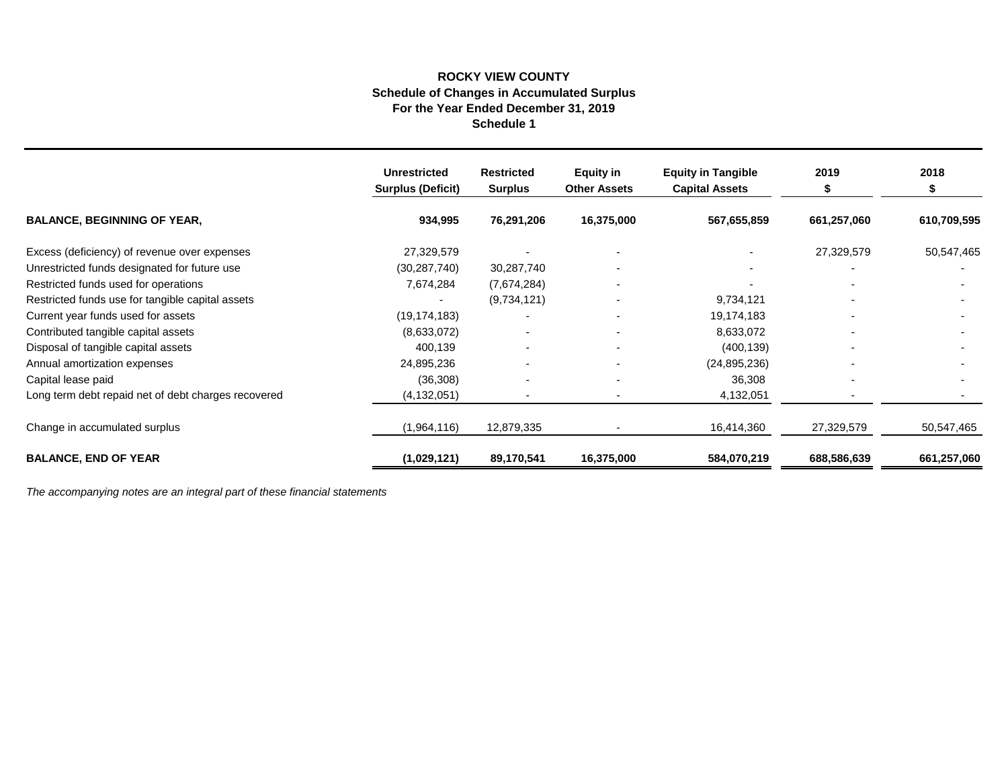### **Schedule 1 Schedule of Changes in Accumulated Surplus For the Year Ended December 31, 2019 ROCKY VIEW COUNTY**

|                                                     | <b>Unrestricted</b><br><b>Surplus (Deficit)</b> | <b>Restricted</b><br><b>Surplus</b> | Equity in<br><b>Other Assets</b> | <b>Equity in Tangible</b><br><b>Capital Assets</b> | 2019        | 2018        |
|-----------------------------------------------------|-------------------------------------------------|-------------------------------------|----------------------------------|----------------------------------------------------|-------------|-------------|
| <b>BALANCE, BEGINNING OF YEAR,</b>                  | 934,995                                         | 76,291,206                          | 16,375,000                       | 567,655,859                                        | 661,257,060 | 610,709,595 |
| Excess (deficiency) of revenue over expenses        | 27,329,579                                      |                                     |                                  |                                                    | 27,329,579  | 50,547,465  |
| Unrestricted funds designated for future use        | (30, 287, 740)                                  | 30,287,740                          |                                  |                                                    |             |             |
| Restricted funds used for operations                | 7,674,284                                       | (7,674,284)                         |                                  |                                                    |             |             |
| Restricted funds use for tangible capital assets    |                                                 | (9,734,121)                         |                                  | 9,734,121                                          |             |             |
| Current year funds used for assets                  | (19, 174, 183)                                  |                                     | $\overline{\phantom{a}}$         | 19,174,183                                         |             |             |
| Contributed tangible capital assets                 | (8,633,072)                                     |                                     |                                  | 8,633,072                                          |             |             |
| Disposal of tangible capital assets                 | 400,139                                         |                                     |                                  | (400, 139)                                         |             |             |
| Annual amortization expenses                        | 24,895,236                                      |                                     |                                  | (24, 895, 236)                                     |             |             |
| Capital lease paid                                  | (36, 308)                                       |                                     |                                  | 36,308                                             |             |             |
| Long term debt repaid net of debt charges recovered | (4, 132, 051)                                   |                                     |                                  | 4,132,051                                          |             |             |
| Change in accumulated surplus                       | (1,964,116)                                     | 12,879,335                          |                                  | 16,414,360                                         | 27,329,579  | 50,547,465  |
| <b>BALANCE, END OF YEAR</b>                         | (1,029,121)                                     | 89,170,541                          | 16,375,000                       | 584,070,219                                        | 688,586,639 | 661,257,060 |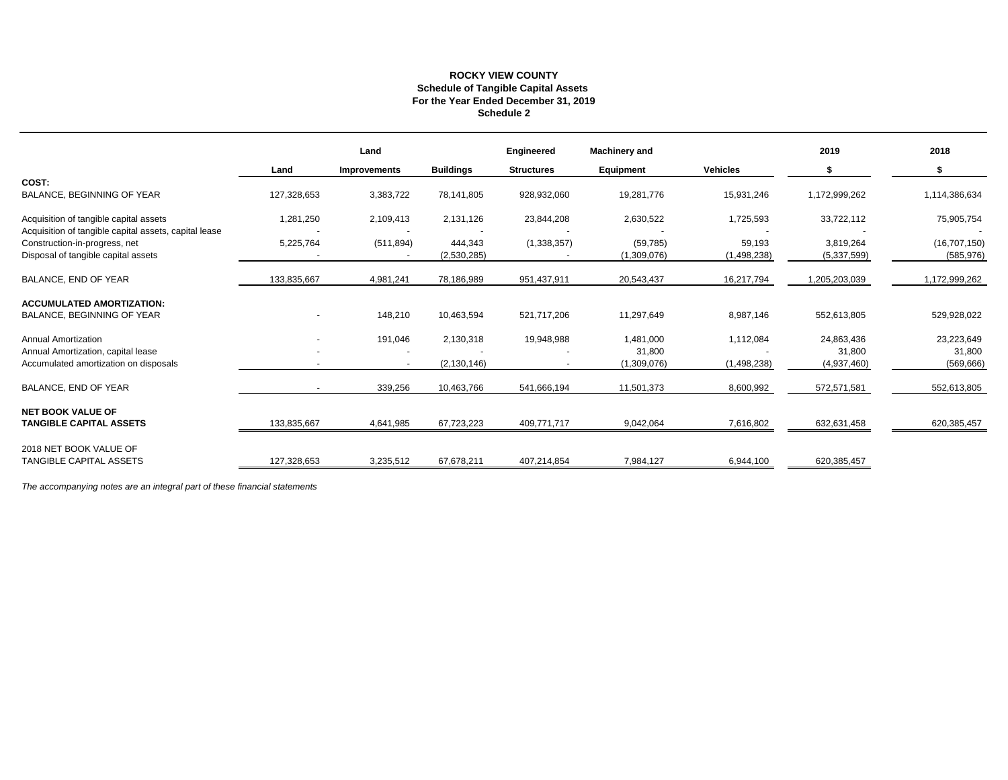#### **ROCKY VIEW COUNTY Schedule of Tangible Capital Assets For the Year Ended December 31, 2019 Schedule 2**

|                                                                                                           |             | Land                |                            | <b>Engineered</b>                      | <b>Machinery and</b>               |                          | 2019                                | 2018                               |
|-----------------------------------------------------------------------------------------------------------|-------------|---------------------|----------------------------|----------------------------------------|------------------------------------|--------------------------|-------------------------------------|------------------------------------|
|                                                                                                           | Land        | <b>Improvements</b> | <b>Buildings</b>           | <b>Structures</b>                      | Equipment                          | <b>Vehicles</b>          | \$                                  | \$                                 |
| COST:<br>BALANCE, BEGINNING OF YEAR                                                                       | 127,328,653 | 3,383,722           | 78,141,805                 | 928,932,060                            | 19,281,776                         | 15,931,246               | 1,172,999,262                       | 1,114,386,634                      |
| Acquisition of tangible capital assets<br>Acquisition of tangible capital assets, capital lease           | 1,281,250   | 2,109,413           | 2,131,126                  | 23,844,208                             | 2,630,522                          | 1,725,593                | 33,722,112                          | 75,905,754                         |
| Construction-in-progress, net<br>Disposal of tangible capital assets                                      | 5,225,764   | (511, 894)          | 444,343<br>(2,530,285)     | (1,338,357)                            | (59, 785)<br>(1,309,076)           | 59,193<br>(1,498,238)    | 3,819,264<br>(5,337,599)            | (16,707,150)<br>(585, 976)         |
| BALANCE, END OF YEAR                                                                                      | 133,835,667 | 4,981,241           | 78,186,989                 | 951,437,911                            | 20,543,437                         | 16,217,794               | 1,205,203,039                       | 1,172,999,262                      |
| <b>ACCUMULATED AMORTIZATION:</b><br>BALANCE, BEGINNING OF YEAR                                            |             | 148,210             | 10,463,594                 | 521,717,206                            | 11,297,649                         | 8,987,146                | 552,613,805                         | 529,928,022                        |
| <b>Annual Amortization</b><br>Annual Amortization, capital lease<br>Accumulated amortization on disposals |             | 191,046<br>$\sim$   | 2,130,318<br>(2, 130, 146) | 19,948,988<br>$\overline{\phantom{a}}$ | 1,481,000<br>31,800<br>(1,309,076) | 1,112,084<br>(1,498,238) | 24,863,436<br>31,800<br>(4,937,460) | 23,223,649<br>31,800<br>(569, 666) |
| BALANCE, END OF YEAR                                                                                      |             | 339,256             | 10,463,766                 | 541,666,194                            | 11,501,373                         | 8,600,992                | 572,571,581                         | 552,613,805                        |
| <b>NET BOOK VALUE OF</b><br><b>TANGIBLE CAPITAL ASSETS</b>                                                | 133,835,667 | 4,641,985           | 67,723,223                 | 409,771,717                            | 9,042,064                          | 7,616,802                | 632,631,458                         | 620,385,457                        |
| 2018 NET BOOK VALUE OF<br>TANGIBLE CAPITAL ASSETS                                                         | 127,328,653 | 3,235,512           | 67,678,211                 | 407,214,854                            | 7,984,127                          | 6,944,100                | 620,385,457                         |                                    |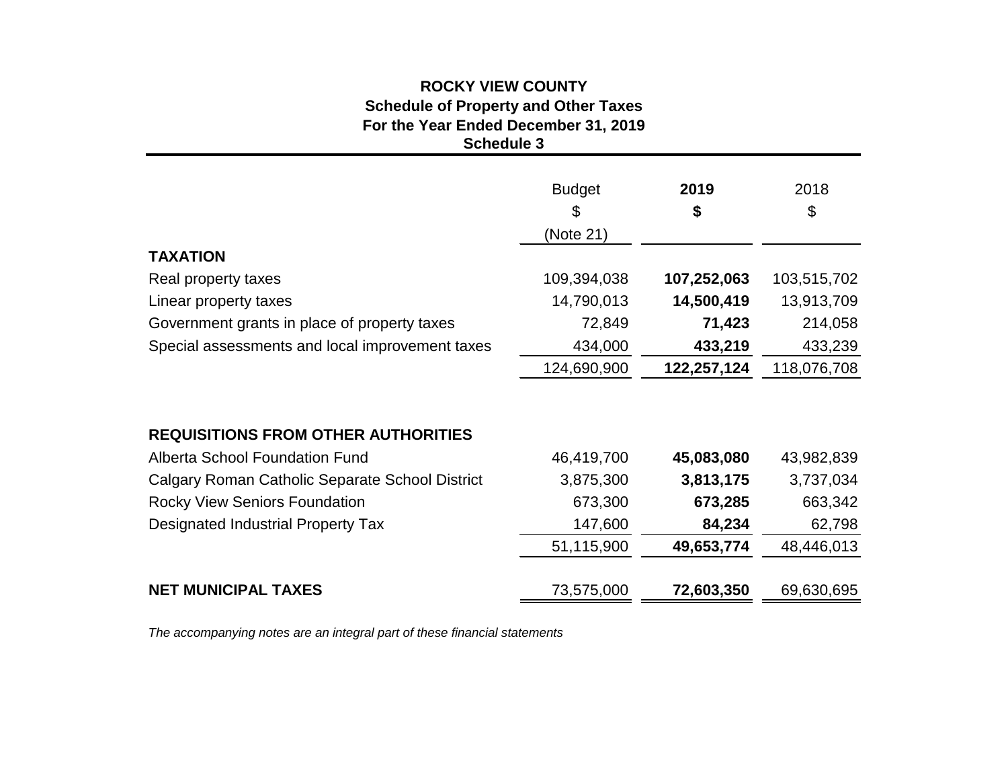# **Schedule 3 ROCKY VIEW COUNTY Schedule of Property and Other Taxes For the Year Ended December 31, 2019**

|                                                 | <b>Budget</b><br>\$<br>(Note 21) | 2019<br>\$  | 2018<br>\$  |
|-------------------------------------------------|----------------------------------|-------------|-------------|
| <b>TAXATION</b>                                 |                                  |             |             |
| Real property taxes                             | 109,394,038                      | 107,252,063 | 103,515,702 |
| Linear property taxes                           | 14,790,013                       | 14,500,419  | 13,913,709  |
| Government grants in place of property taxes    | 72,849                           | 71,423      | 214,058     |
| Special assessments and local improvement taxes | 434,000                          | 433,219     | 433,239     |
|                                                 | 124,690,900                      | 122,257,124 | 118,076,708 |
| <b>REQUISITIONS FROM OTHER AUTHORITIES</b>      |                                  |             |             |
| Alberta School Foundation Fund                  | 46,419,700                       | 45,083,080  | 43,982,839  |
| Calgary Roman Catholic Separate School District | 3,875,300                        | 3,813,175   | 3,737,034   |
| <b>Rocky View Seniors Foundation</b>            | 673,300                          | 673,285     | 663,342     |
| Designated Industrial Property Tax              | 147,600                          | 84,234      | 62,798      |
|                                                 | 51,115,900                       | 49,653,774  | 48,446,013  |
| <b>NET MUNICIPAL TAXES</b>                      | 73,575,000                       | 72,603,350  | 69,630,695  |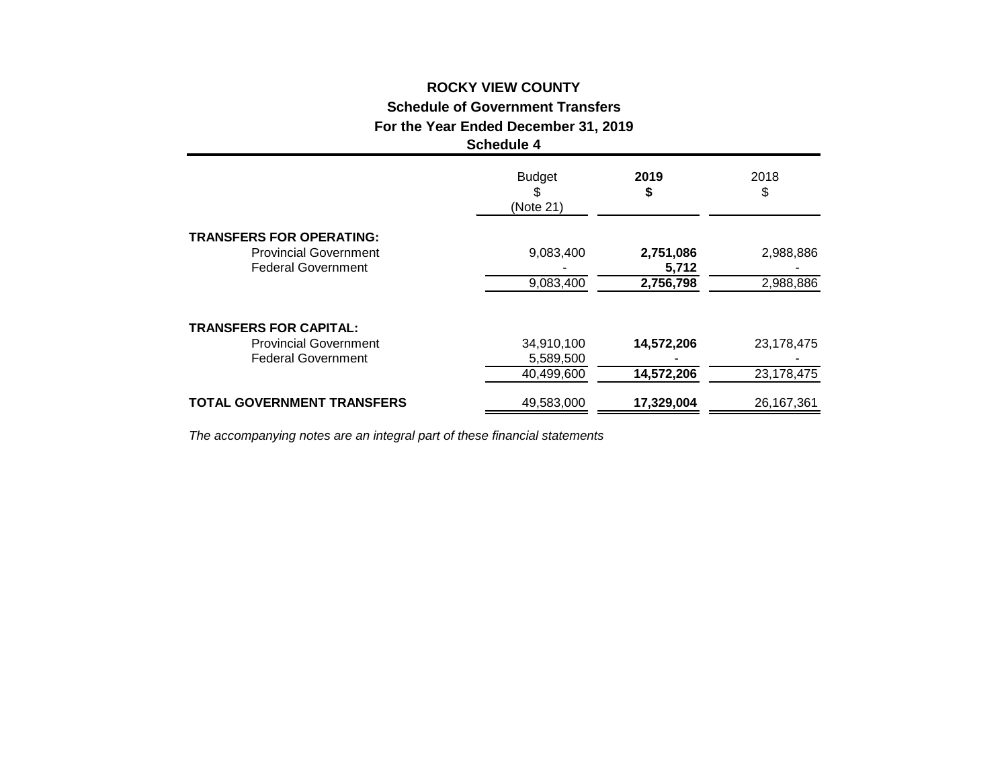# **ROCKY VIEW COUNTY Schedule of Government Transfers**

**For the Year Ended December 31, 2019**

|                                                           | <b>Schedule 4</b>                |                    |              |
|-----------------------------------------------------------|----------------------------------|--------------------|--------------|
|                                                           | <b>Budget</b><br>S.<br>(Note 21) | 2019<br>\$         | 2018<br>\$   |
| <b>TRANSFERS FOR OPERATING:</b>                           |                                  |                    |              |
| <b>Provincial Government</b><br><b>Federal Government</b> | 9,083,400                        | 2,751,086<br>5,712 | 2,988,886    |
|                                                           | 9,083,400                        | 2,756,798          | 2,988,886    |
| <b>TRANSFERS FOR CAPITAL:</b>                             |                                  |                    |              |
| <b>Provincial Government</b>                              | 34,910,100                       | 14,572,206         | 23,178,475   |
| <b>Federal Government</b>                                 | 5,589,500                        |                    |              |
|                                                           | 40,499,600                       | 14,572,206         | 23,178,475   |
| <b>TOTAL GOVERNMENT TRANSFERS</b>                         | 49,583,000                       | 17,329,004         | 26, 167, 361 |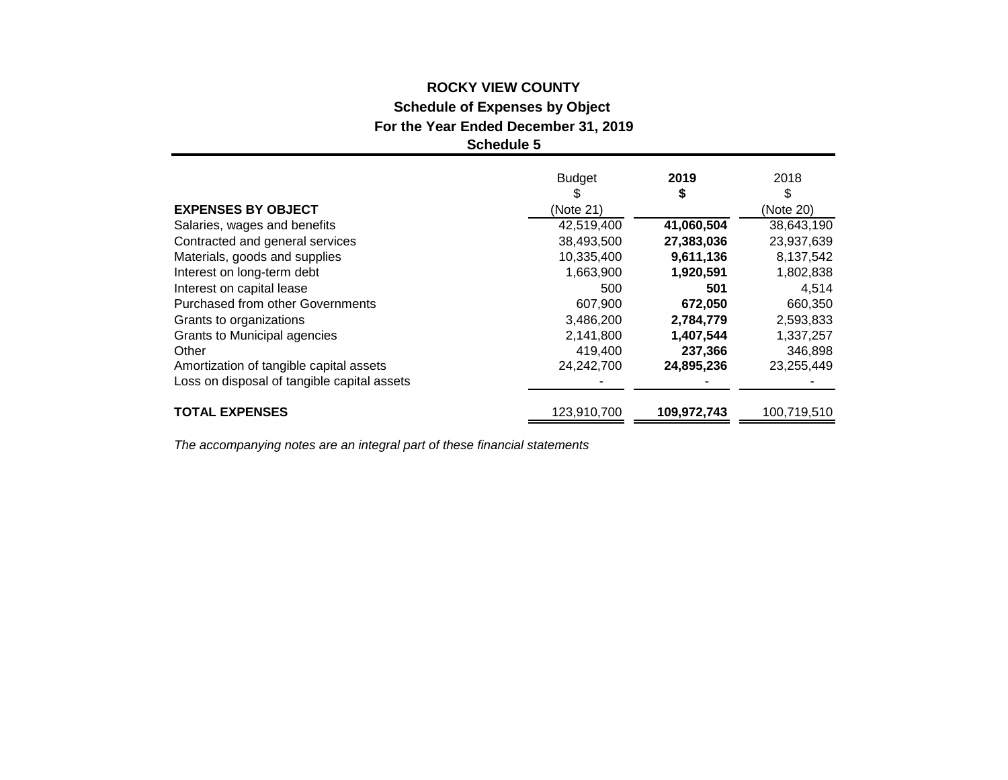# **ROCKY VIEW COUNTY Schedule of Expenses by Object For the Year Ended December 31, 2019**

**Schedule 5**

|                                             | <b>Budget</b> | 2019        | 2018        |
|---------------------------------------------|---------------|-------------|-------------|
|                                             | S             | S           | S           |
| <b>EXPENSES BY OBJECT</b>                   | (Note 21)     |             | (Note 20)   |
| Salaries, wages and benefits                | 42,519,400    | 41,060,504  | 38,643,190  |
| Contracted and general services             | 38,493,500    | 27,383,036  | 23,937,639  |
| Materials, goods and supplies               | 10,335,400    | 9,611,136   | 8,137,542   |
| Interest on long-term debt                  | 1,663,900     | 1,920,591   | 1,802,838   |
| Interest on capital lease                   | 500           | 501         | 4,514       |
| Purchased from other Governments            | 607.900       | 672,050     | 660,350     |
| Grants to organizations                     | 3,486,200     | 2,784,779   | 2,593,833   |
| Grants to Municipal agencies                | 2,141,800     | 1,407,544   | 1,337,257   |
| Other                                       | 419,400       | 237,366     | 346,898     |
| Amortization of tangible capital assets     | 24,242,700    | 24,895,236  | 23,255,449  |
| Loss on disposal of tangible capital assets |               |             |             |
| <b>TOTAL EXPENSES</b>                       | 123,910,700   | 109,972,743 | 100,719,510 |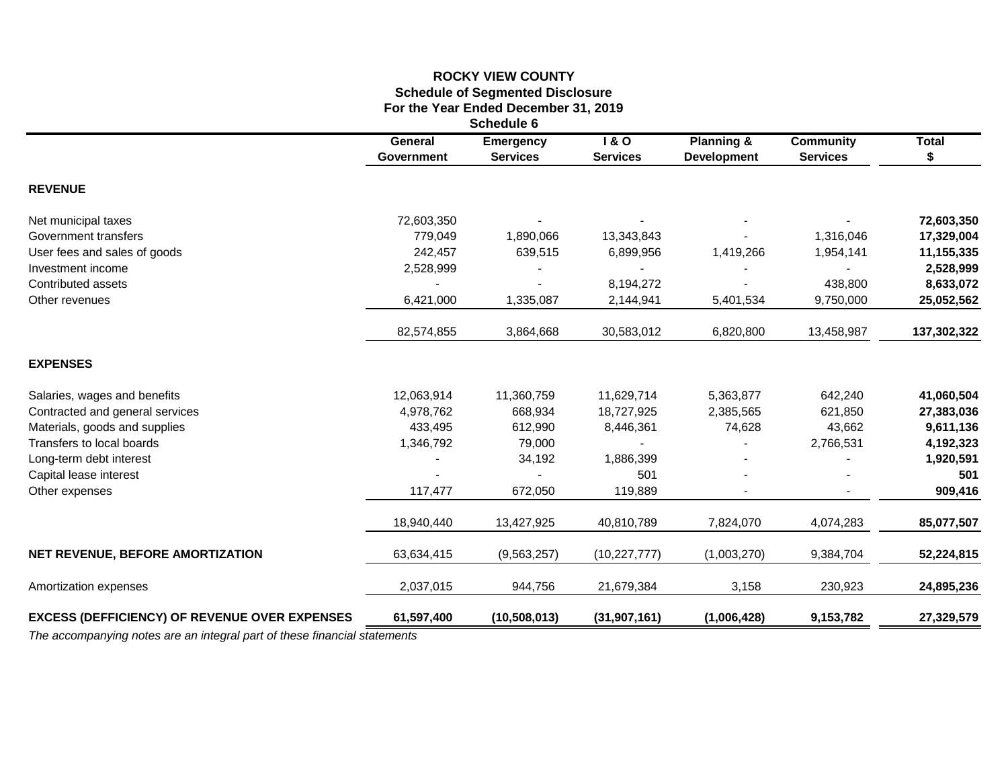#### **ROCKY VIEW COUNTY Schedule of Segmented Disclosure For the Year Ended December 31, 2019 Schedule 6**

|                                                      | General           | <b>Emergency</b> | 180             | <b>Planning &amp;</b> | <b>Community</b> | <b>Total</b> |
|------------------------------------------------------|-------------------|------------------|-----------------|-----------------------|------------------|--------------|
|                                                      | <b>Government</b> | <b>Services</b>  | <b>Services</b> | <b>Development</b>    | <b>Services</b>  | \$           |
| <b>REVENUE</b>                                       |                   |                  |                 |                       |                  |              |
| Net municipal taxes                                  | 72,603,350        |                  |                 |                       |                  | 72,603,350   |
| Government transfers                                 | 779,049           | 1,890,066        | 13,343,843      |                       | 1,316,046        | 17,329,004   |
| User fees and sales of goods                         | 242,457           | 639,515          | 6,899,956       | 1,419,266             | 1,954,141        | 11,155,335   |
| Investment income                                    | 2,528,999         |                  |                 |                       |                  | 2,528,999    |
| Contributed assets                                   |                   |                  | 8,194,272       |                       | 438,800          | 8,633,072    |
| Other revenues                                       | 6,421,000         | 1,335,087        | 2,144,941       | 5,401,534             | 9,750,000        | 25,052,562   |
|                                                      | 82,574,855        | 3,864,668        | 30,583,012      | 6,820,800             | 13,458,987       | 137,302,322  |
| <b>EXPENSES</b>                                      |                   |                  |                 |                       |                  |              |
| Salaries, wages and benefits                         | 12,063,914        | 11,360,759       | 11,629,714      | 5,363,877             | 642,240          | 41,060,504   |
| Contracted and general services                      | 4,978,762         | 668,934          | 18,727,925      | 2,385,565             | 621,850          | 27,383,036   |
| Materials, goods and supplies                        | 433,495           | 612,990          | 8,446,361       | 74,628                | 43,662           | 9,611,136    |
| Transfers to local boards                            | 1,346,792         | 79,000           |                 |                       | 2,766,531        | 4,192,323    |
| Long-term debt interest                              |                   | 34,192           | 1,886,399       |                       |                  | 1,920,591    |
| Capital lease interest                               |                   |                  | 501             |                       |                  | 501          |
| Other expenses                                       | 117,477           | 672,050          | 119,889         |                       |                  | 909,416      |
|                                                      | 18,940,440        | 13,427,925       | 40,810,789      | 7,824,070             | 4,074,283        | 85,077,507   |
| NET REVENUE, BEFORE AMORTIZATION                     | 63,634,415        | (9,563,257)      | (10, 227, 777)  | (1,003,270)           | 9,384,704        | 52,224,815   |
| Amortization expenses                                | 2,037,015         | 944,756          | 21,679,384      | 3,158                 | 230,923          | 24,895,236   |
| <b>EXCESS (DEFFICIENCY) OF REVENUE OVER EXPENSES</b> | 61,597,400        | (10,508,013)     | (31, 907, 161)  | (1,006,428)           | 9,153,782        | 27,329,579   |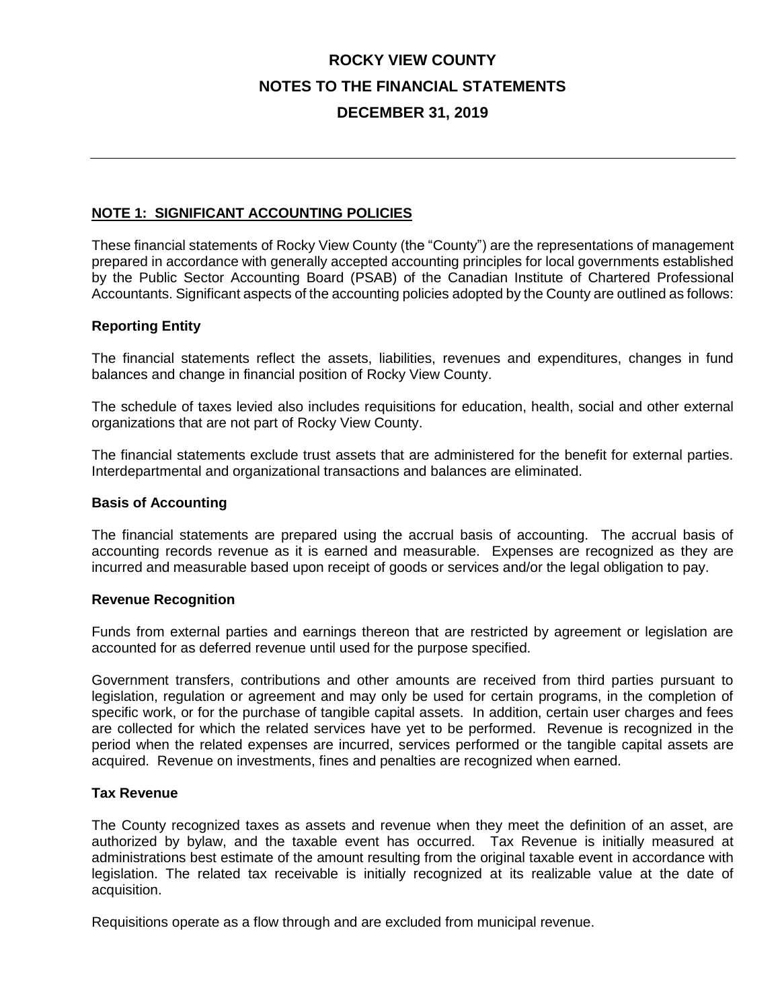# **NOTE 1: SIGNIFICANT ACCOUNTING POLICIES**

These financial statements of Rocky View County (the "County") are the representations of management prepared in accordance with generally accepted accounting principles for local governments established by the Public Sector Accounting Board (PSAB) of the Canadian Institute of Chartered Professional Accountants. Significant aspects of the accounting policies adopted by the County are outlined as follows:

# **Reporting Entity**

The financial statements reflect the assets, liabilities, revenues and expenditures, changes in fund balances and change in financial position of Rocky View County.

The schedule of taxes levied also includes requisitions for education, health, social and other external organizations that are not part of Rocky View County.

The financial statements exclude trust assets that are administered for the benefit for external parties. Interdepartmental and organizational transactions and balances are eliminated.

#### **Basis of Accounting**

The financial statements are prepared using the accrual basis of accounting. The accrual basis of accounting records revenue as it is earned and measurable. Expenses are recognized as they are incurred and measurable based upon receipt of goods or services and/or the legal obligation to pay.

#### **Revenue Recognition**

Funds from external parties and earnings thereon that are restricted by agreement or legislation are accounted for as deferred revenue until used for the purpose specified.

Government transfers, contributions and other amounts are received from third parties pursuant to legislation, regulation or agreement and may only be used for certain programs, in the completion of specific work, or for the purchase of tangible capital assets. In addition, certain user charges and fees are collected for which the related services have yet to be performed. Revenue is recognized in the period when the related expenses are incurred, services performed or the tangible capital assets are acquired. Revenue on investments, fines and penalties are recognized when earned.

#### **Tax Revenue**

The County recognized taxes as assets and revenue when they meet the definition of an asset, are authorized by bylaw, and the taxable event has occurred. Tax Revenue is initially measured at administrations best estimate of the amount resulting from the original taxable event in accordance with legislation. The related tax receivable is initially recognized at its realizable value at the date of acquisition.

Requisitions operate as a flow through and are excluded from municipal revenue.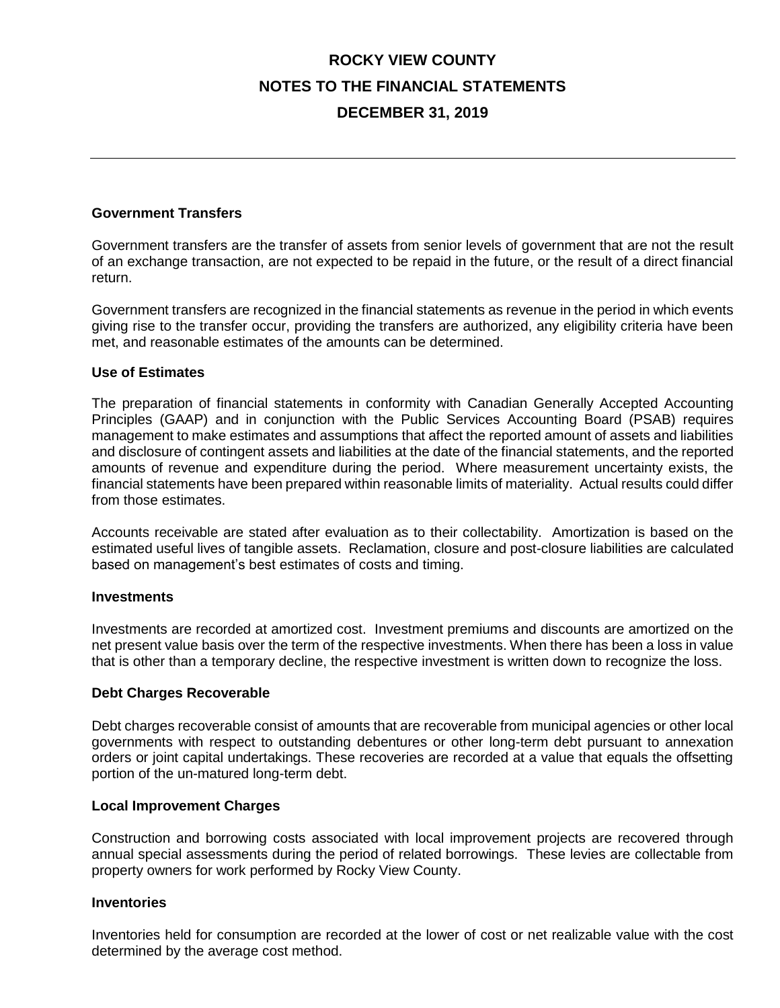### **Government Transfers**

Government transfers are the transfer of assets from senior levels of government that are not the result of an exchange transaction, are not expected to be repaid in the future, or the result of a direct financial return.

Government transfers are recognized in the financial statements as revenue in the period in which events giving rise to the transfer occur, providing the transfers are authorized, any eligibility criteria have been met, and reasonable estimates of the amounts can be determined.

#### **Use of Estimates**

The preparation of financial statements in conformity with Canadian Generally Accepted Accounting Principles (GAAP) and in conjunction with the Public Services Accounting Board (PSAB) requires management to make estimates and assumptions that affect the reported amount of assets and liabilities and disclosure of contingent assets and liabilities at the date of the financial statements, and the reported amounts of revenue and expenditure during the period. Where measurement uncertainty exists, the financial statements have been prepared within reasonable limits of materiality. Actual results could differ from those estimates.

Accounts receivable are stated after evaluation as to their collectability. Amortization is based on the estimated useful lives of tangible assets. Reclamation, closure and post-closure liabilities are calculated based on management's best estimates of costs and timing.

#### **Investments**

Investments are recorded at amortized cost. Investment premiums and discounts are amortized on the net present value basis over the term of the respective investments. When there has been a loss in value that is other than a temporary decline, the respective investment is written down to recognize the loss.

#### **Debt Charges Recoverable**

Debt charges recoverable consist of amounts that are recoverable from municipal agencies or other local governments with respect to outstanding debentures or other long-term debt pursuant to annexation orders or joint capital undertakings. These recoveries are recorded at a value that equals the offsetting portion of the un-matured long-term debt.

#### **Local Improvement Charges**

Construction and borrowing costs associated with local improvement projects are recovered through annual special assessments during the period of related borrowings. These levies are collectable from property owners for work performed by Rocky View County.

#### **Inventories**

Inventories held for consumption are recorded at the lower of cost or net realizable value with the cost determined by the average cost method.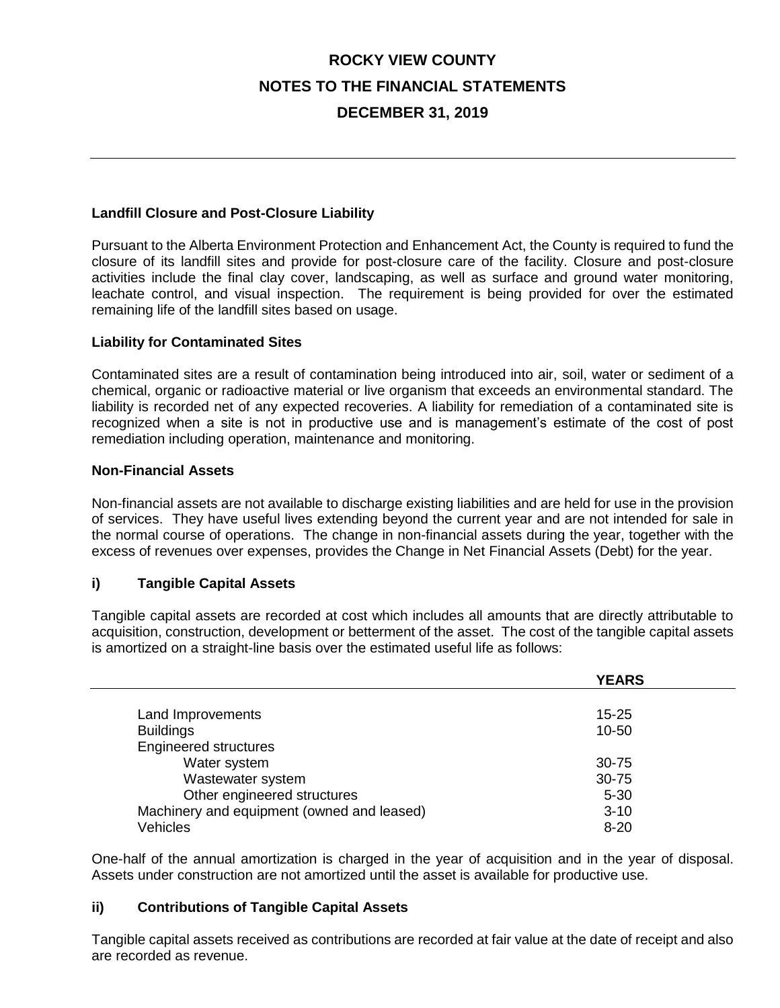## **Landfill Closure and Post-Closure Liability**

Pursuant to the Alberta Environment Protection and Enhancement Act, the County is required to fund the closure of its landfill sites and provide for post-closure care of the facility. Closure and post-closure activities include the final clay cover, landscaping, as well as surface and ground water monitoring, leachate control, and visual inspection. The requirement is being provided for over the estimated remaining life of the landfill sites based on usage.

### **Liability for Contaminated Sites**

Contaminated sites are a result of contamination being introduced into air, soil, water or sediment of a chemical, organic or radioactive material or live organism that exceeds an environmental standard. The liability is recorded net of any expected recoveries. A liability for remediation of a contaminated site is recognized when a site is not in productive use and is management's estimate of the cost of post remediation including operation, maintenance and monitoring.

### **Non-Financial Assets**

Non-financial assets are not available to discharge existing liabilities and are held for use in the provision of services. They have useful lives extending beyond the current year and are not intended for sale in the normal course of operations. The change in non-financial assets during the year, together with the excess of revenues over expenses, provides the Change in Net Financial Assets (Debt) for the year.

# **i) Tangible Capital Assets**

Tangible capital assets are recorded at cost which includes all amounts that are directly attributable to acquisition, construction, development or betterment of the asset. The cost of the tangible capital assets is amortized on a straight-line basis over the estimated useful life as follows:

|                                            | <b>YEARS</b> |
|--------------------------------------------|--------------|
|                                            |              |
| Land Improvements                          | $15 - 25$    |
| <b>Buildings</b>                           | 10-50        |
| <b>Engineered structures</b>               |              |
| Water system                               | $30 - 75$    |
| Wastewater system                          | $30 - 75$    |
| Other engineered structures                | $5 - 30$     |
| Machinery and equipment (owned and leased) | $3 - 10$     |
| Vehicles                                   | $8 - 20$     |

One-half of the annual amortization is charged in the year of acquisition and in the year of disposal. Assets under construction are not amortized until the asset is available for productive use.

# **ii) Contributions of Tangible Capital Assets**

Tangible capital assets received as contributions are recorded at fair value at the date of receipt and also are recorded as revenue.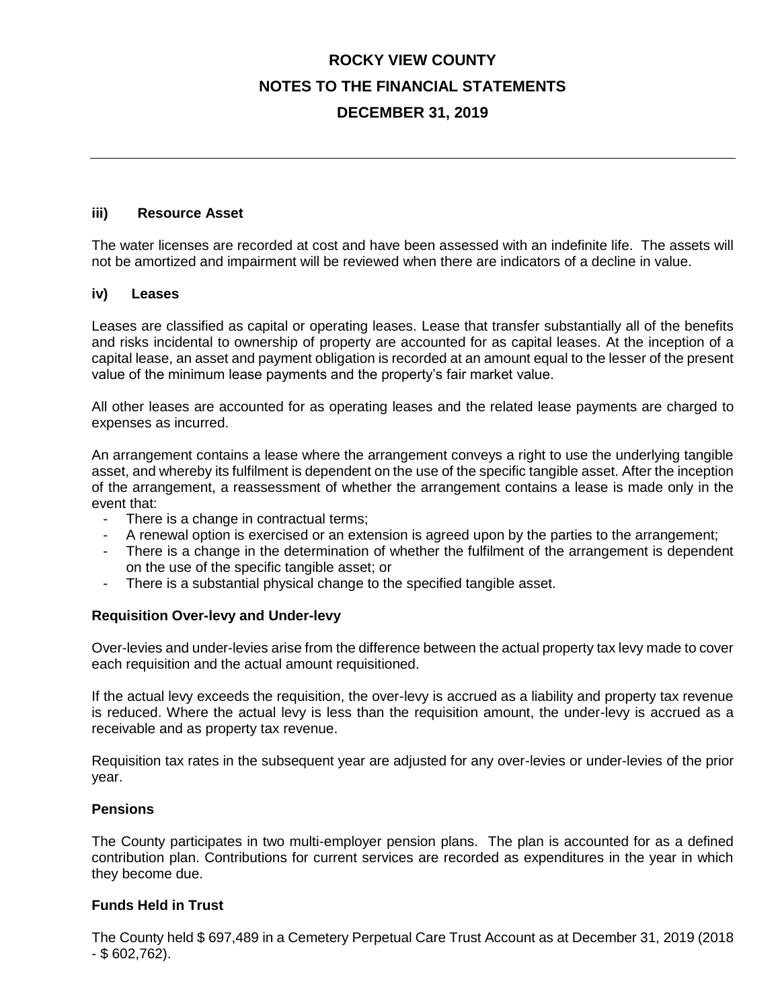### **iii) Resource Asset**

The water licenses are recorded at cost and have been assessed with an indefinite life. The assets will not be amortized and impairment will be reviewed when there are indicators of a decline in value.

### **iv) Leases**

Leases are classified as capital or operating leases. Lease that transfer substantially all of the benefits and risks incidental to ownership of property are accounted for as capital leases. At the inception of a capital lease, an asset and payment obligation is recorded at an amount equal to the lesser of the present value of the minimum lease payments and the property's fair market value.

All other leases are accounted for as operating leases and the related lease payments are charged to expenses as incurred.

An arrangement contains a lease where the arrangement conveys a right to use the underlying tangible asset, and whereby its fulfilment is dependent on the use of the specific tangible asset. After the inception of the arrangement, a reassessment of whether the arrangement contains a lease is made only in the event that:

- There is a change in contractual terms;
- A renewal option is exercised or an extension is agreed upon by the parties to the arrangement;
- There is a change in the determination of whether the fulfilment of the arrangement is dependent on the use of the specific tangible asset; or
- There is a substantial physical change to the specified tangible asset.

#### **Requisition Over-levy and Under-levy**

Over-levies and under-levies arise from the difference between the actual property tax levy made to cover each requisition and the actual amount requisitioned.

If the actual levy exceeds the requisition, the over-levy is accrued as a liability and property tax revenue is reduced. Where the actual levy is less than the requisition amount, the under-levy is accrued as a receivable and as property tax revenue.

Requisition tax rates in the subsequent year are adjusted for any over-levies or under-levies of the prior year.

#### **Pensions**

The County participates in two multi-employer pension plans. The plan is accounted for as a defined contribution plan. Contributions for current services are recorded as expenditures in the year in which they become due.

# **Funds Held in Trust**

The County held \$ 697,489 in a Cemetery Perpetual Care Trust Account as at December 31, 2019 (2018 - \$ 602,762).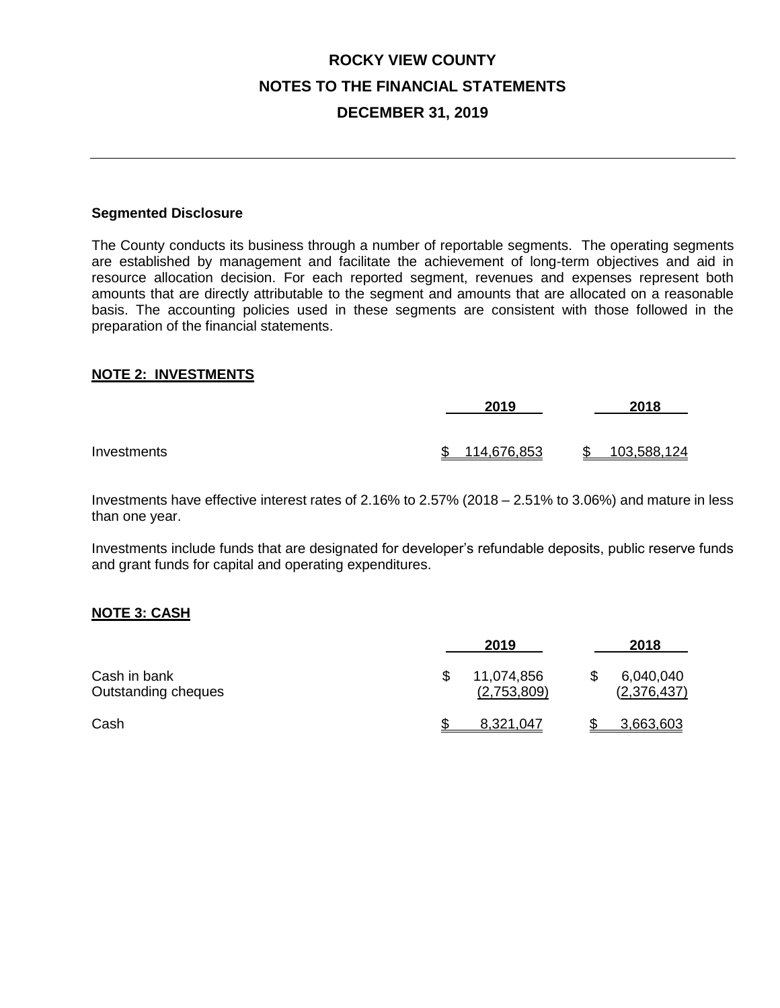#### **Segmented Disclosure**

The County conducts its business through a number of reportable segments. The operating segments are established by management and facilitate the achievement of long-term objectives and aid in resource allocation decision. For each reported segment, revenues and expenses represent both amounts that are directly attributable to the segment and amounts that are allocated on a reasonable basis. The accounting policies used in these segments are consistent with those followed in the preparation of the financial statements.

### **NOTE 2: INVESTMENTS**

|             | 2019              | 2018               |
|-------------|-------------------|--------------------|
| Investments | 114,676,853<br>¢. | 103,588,124<br>\$. |

Investments have effective interest rates of 2.16% to 2.57% (2018 – 2.51% to 3.06%) and mature in less than one year.

Investments include funds that are designated for developer's refundable deposits, public reserve funds and grant funds for capital and operating expenditures.

# **NOTE 3: CASH**

|                                     | 2019                      |  |                          |
|-------------------------------------|---------------------------|--|--------------------------|
| Cash in bank<br>Outstanding cheques | 11,074,856<br>(2,753,809) |  | 6,040,040<br>(2,376,437) |
| Cash                                | 8.321.047                 |  | 3.663.603                |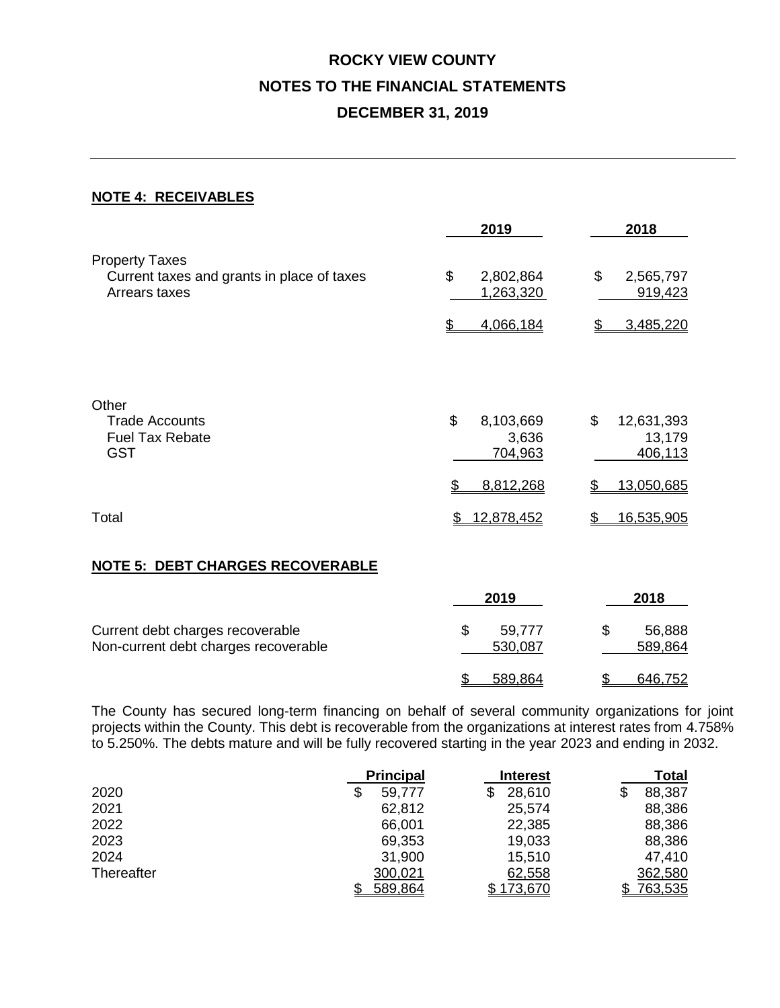# **NOTE 4: RECEIVABLES**

|                                                                                      | 2019                                            | 2018                                    |
|--------------------------------------------------------------------------------------|-------------------------------------------------|-----------------------------------------|
| <b>Property Taxes</b><br>Current taxes and grants in place of taxes<br>Arrears taxes | \$<br>2,802,864<br>1,263,320<br>4,066,184<br>\$ | \$<br>2,565,797<br>919,423<br>3,485,220 |
| Other<br><b>Trade Accounts</b><br><b>Fuel Tax Rebate</b><br><b>GST</b>               | \$<br>8,103,669<br>3,636<br>704,963             | \$<br>12,631,393<br>13,179<br>406,113   |
| Total                                                                                | 8,812,268<br>12,878,452<br>\$                   | 13,050,685<br>S<br>16,535,905<br>\$     |
| <b>NOTE 5: DEBT CHARGES RECOVERABLE</b>                                              |                                                 |                                         |
|                                                                                      | 2019                                            | 2018                                    |
| Current debt charges recoverable<br>Non-current debt charges recoverable             | \$<br>59,777<br>530,087                         | \$<br>56,888<br>589,864                 |
|                                                                                      | \$<br>589,864                                   | \$<br>646,752                           |

The County has secured long-term financing on behalf of several community organizations for joint projects within the County. This debt is recoverable from the organizations at interest rates from 4.758% to 5.250%. The debts mature and will be fully recovered starting in the year 2023 and ending in 2032.

|            | <b>Principal</b> | <b>Interest</b> | <b>Total</b> |
|------------|------------------|-----------------|--------------|
| 2020       | 59,777           | 28,610          | 88,387<br>\$ |
| 2021       | 62,812           | 25,574          | 88,386       |
| 2022       | 66,001           | 22,385          | 88,386       |
| 2023       | 69,353           | 19,033          | 88,386       |
| 2024       | 31,900           | 15,510          | 47,410       |
| Thereafter | 300,021          | 62,558          | 362,580      |
|            | 589.864          | \$173.670       | 763.535      |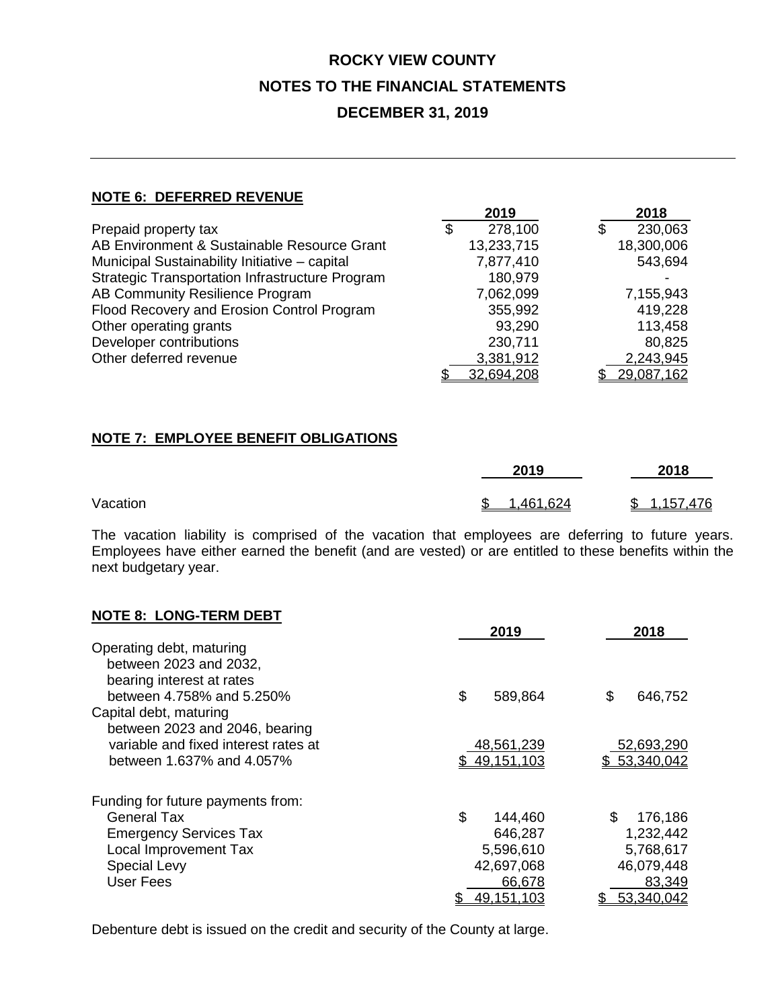## **NOTE 6: DEFERRED REVENUE**

|                                                 | 2019          | 2018          |
|-------------------------------------------------|---------------|---------------|
| Prepaid property tax                            | 278,100<br>\$ | 230,063<br>æ. |
| AB Environment & Sustainable Resource Grant     | 13,233,715    | 18,300,006    |
| Municipal Sustainability Initiative - capital   | 7,877,410     | 543,694       |
| Strategic Transportation Infrastructure Program | 180,979       |               |
| AB Community Resilience Program                 | 7,062,099     | 7,155,943     |
| Flood Recovery and Erosion Control Program      | 355,992       | 419,228       |
| Other operating grants                          | 93,290        | 113,458       |
| Developer contributions                         | 230,711       | 80,825        |
| Other deferred revenue                          | 3,381,912     | 2,243,945     |
|                                                 | 32,694,208    | 29,087,162    |

### **NOTE 7: EMPLOYEE BENEFIT OBLIGATIONS**

|          | 2019      | 2018        |
|----------|-----------|-------------|
| Vacation | 1,461,624 | \$1,157,476 |

The vacation liability is comprised of the vacation that employees are deferring to future years. Employees have either earned the benefit (and are vested) or are entitled to these benefits within the next budgetary year.

| <b>NOTE 8: LONG-TERM DEBT</b>        |               |               |
|--------------------------------------|---------------|---------------|
| Operating debt, maturing             | 2019          | 2018          |
| between 2023 and 2032,               |               |               |
| bearing interest at rates            |               |               |
| between 4.758% and 5.250%            | \$<br>589,864 | \$<br>646,752 |
| Capital debt, maturing               |               |               |
| between 2023 and 2046, bearing       |               |               |
| variable and fixed interest rates at | 48,561,239    | 52,693,290    |
| between 1.637% and 4.057%            | \$49,151,103  | \$53,340,042  |
| Funding for future payments from:    |               |               |
| <b>General Tax</b>                   | \$<br>144,460 | \$<br>176,186 |
| <b>Emergency Services Tax</b>        | 646,287       | 1,232,442     |
| Local Improvement Tax                | 5,596,610     | 5,768,617     |
| <b>Special Levy</b>                  | 42,697,068    | 46,079,448    |
| <b>User Fees</b>                     | 66,678        | 83,349        |
|                                      | 49,151,103    | 53,340,042    |

Debenture debt is issued on the credit and security of the County at large.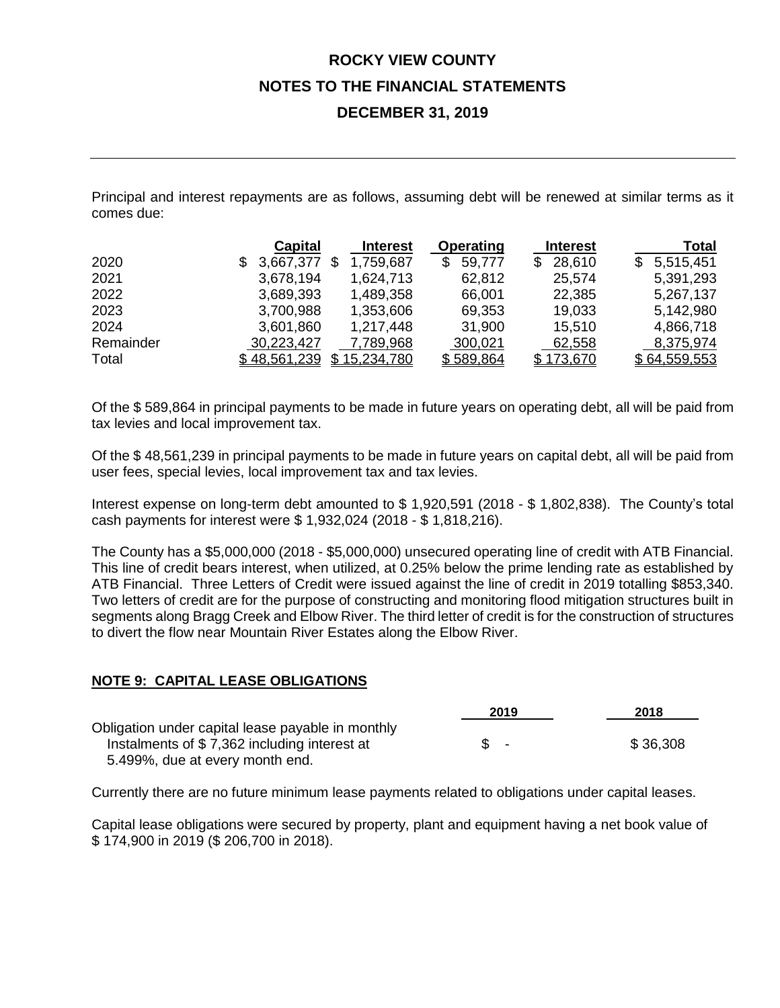Principal and interest repayments are as follows, assuming debt will be renewed at similar terms as it comes due:

|           | <b>Capital</b>      | <b>Interest</b> |   | Operating | <b>Interest</b> | Total        |
|-----------|---------------------|-----------------|---|-----------|-----------------|--------------|
| 2020      | 3,667,377 \$        | 1,759,687       | S | 59,777    | 28,610          | 5,515,451    |
| 2021      | 3,678,194           | 1,624,713       |   | 62,812    | 25,574          | 5,391,293    |
| 2022      | 3,689,393           | 1,489,358       |   | 66,001    | 22,385          | 5,267,137    |
| 2023      | 3,700,988           | 1,353,606       |   | 69,353    | 19,033          | 5,142,980    |
| 2024      | 3,601,860           | 1,217,448       |   | 31,900    | 15,510          | 4,866,718    |
| Remainder | 30,223,427          | 7,789,968       |   | 300,021   | 62,558          | 8,375,974    |
| Total     | <u>\$48,561,239</u> | \$15,234,780    |   | \$589,864 | \$173,670       | \$64,559,553 |

Of the \$ 589,864 in principal payments to be made in future years on operating debt, all will be paid from tax levies and local improvement tax.

Of the \$ 48,561,239 in principal payments to be made in future years on capital debt, all will be paid from user fees, special levies, local improvement tax and tax levies.

Interest expense on long-term debt amounted to \$ 1,920,591 (2018 - \$ 1,802,838). The County's total cash payments for interest were \$ 1,932,024 (2018 - \$ 1,818,216).

The County has a \$5,000,000 (2018 - \$5,000,000) unsecured operating line of credit with ATB Financial. This line of credit bears interest, when utilized, at 0.25% below the prime lending rate as established by ATB Financial. Three Letters of Credit were issued against the line of credit in 2019 totalling \$853,340. Two letters of credit are for the purpose of constructing and monitoring flood mitigation structures built in segments along Bragg Creek and Elbow River. The third letter of credit is for the construction of structures to divert the flow near Mountain River Estates along the Elbow River.

# **NOTE 9: CAPITAL LEASE OBLIGATIONS**

|                                                   | 2019   | 2018     |
|---------------------------------------------------|--------|----------|
| Obligation under capital lease payable in monthly |        |          |
| Instalments of \$7,362 including interest at      | S<br>- | \$36,308 |
| 5.499%, due at every month end.                   |        |          |

Currently there are no future minimum lease payments related to obligations under capital leases.

Capital lease obligations were secured by property, plant and equipment having a net book value of \$ 174,900 in 2019 (\$ 206,700 in 2018).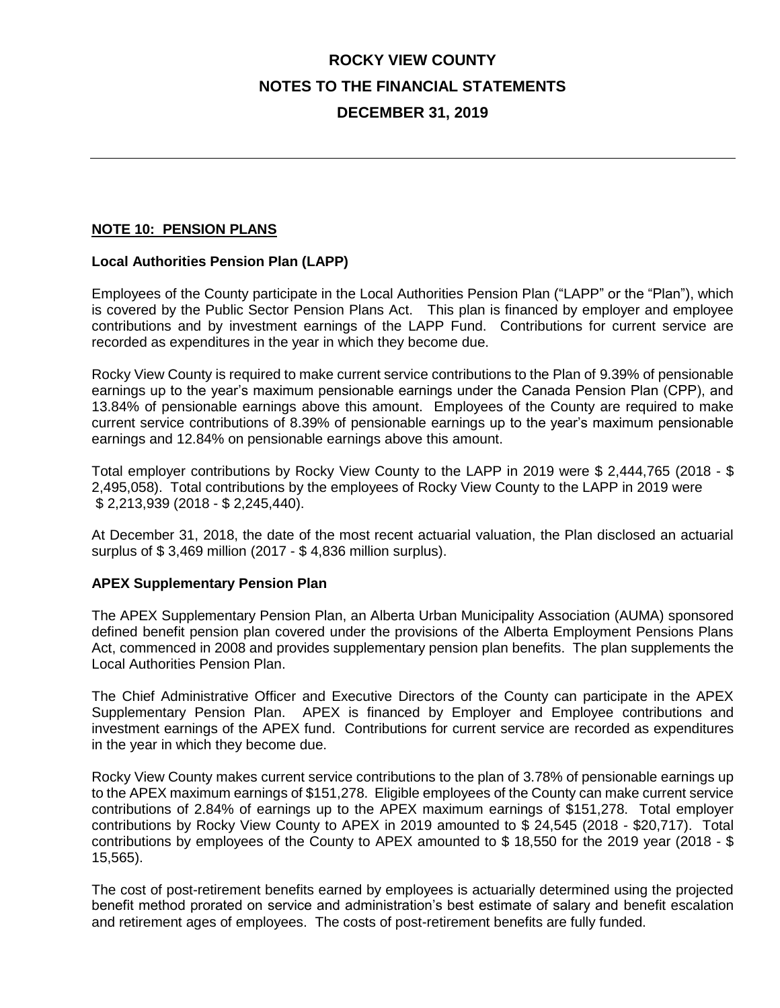### **NOTE 10: PENSION PLANS**

### **Local Authorities Pension Plan (LAPP)**

Employees of the County participate in the Local Authorities Pension Plan ("LAPP" or the "Plan"), which is covered by the Public Sector Pension Plans Act. This plan is financed by employer and employee contributions and by investment earnings of the LAPP Fund. Contributions for current service are recorded as expenditures in the year in which they become due.

Rocky View County is required to make current service contributions to the Plan of 9.39% of pensionable earnings up to the year's maximum pensionable earnings under the Canada Pension Plan (CPP), and 13.84% of pensionable earnings above this amount. Employees of the County are required to make current service contributions of 8.39% of pensionable earnings up to the year's maximum pensionable earnings and 12.84% on pensionable earnings above this amount.

Total employer contributions by Rocky View County to the LAPP in 2019 were \$ 2,444,765 (2018 - \$ 2,495,058). Total contributions by the employees of Rocky View County to the LAPP in 2019 were \$ 2,213,939 (2018 - \$ 2,245,440).

At December 31, 2018, the date of the most recent actuarial valuation, the Plan disclosed an actuarial surplus of \$ 3,469 million (2017 - \$ 4,836 million surplus).

# **APEX Supplementary Pension Plan**

The APEX Supplementary Pension Plan, an Alberta Urban Municipality Association (AUMA) sponsored defined benefit pension plan covered under the provisions of the Alberta Employment Pensions Plans Act, commenced in 2008 and provides supplementary pension plan benefits. The plan supplements the Local Authorities Pension Plan.

The Chief Administrative Officer and Executive Directors of the County can participate in the APEX Supplementary Pension Plan. APEX is financed by Employer and Employee contributions and investment earnings of the APEX fund. Contributions for current service are recorded as expenditures in the year in which they become due.

Rocky View County makes current service contributions to the plan of 3.78% of pensionable earnings up to the APEX maximum earnings of \$151,278. Eligible employees of the County can make current service contributions of 2.84% of earnings up to the APEX maximum earnings of \$151,278. Total employer contributions by Rocky View County to APEX in 2019 amounted to \$ 24,545 (2018 - \$20,717). Total contributions by employees of the County to APEX amounted to \$ 18,550 for the 2019 year (2018 - \$ 15,565).

The cost of post-retirement benefits earned by employees is actuarially determined using the projected benefit method prorated on service and administration's best estimate of salary and benefit escalation and retirement ages of employees. The costs of post-retirement benefits are fully funded.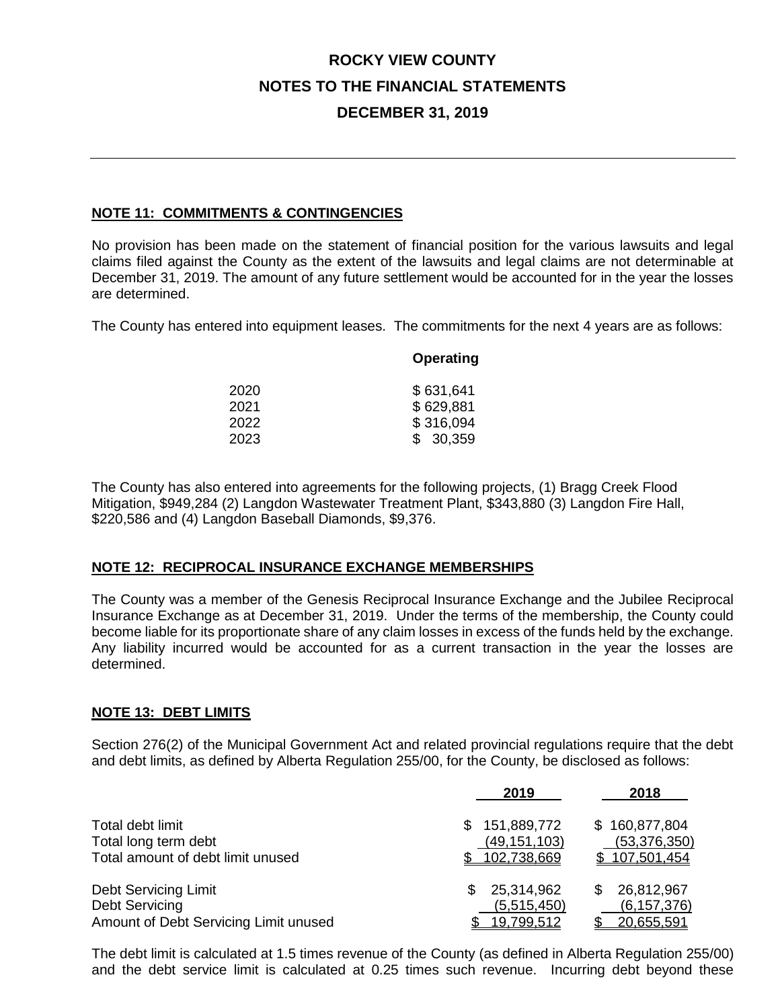## **NOTE 11: COMMITMENTS & CONTINGENCIES**

No provision has been made on the statement of financial position for the various lawsuits and legal claims filed against the County as the extent of the lawsuits and legal claims are not determinable at December 31, 2019. The amount of any future settlement would be accounted for in the year the losses are determined.

The County has entered into equipment leases. The commitments for the next 4 years are as follows:

# **Operating**

| \$631,641 |
|-----------|
| \$629,881 |
| \$316,094 |
| \$30,359  |
|           |

The County has also entered into agreements for the following projects, (1) Bragg Creek Flood Mitigation, \$949,284 (2) Langdon Wastewater Treatment Plant, \$343,880 (3) Langdon Fire Hall, \$220,586 and (4) Langdon Baseball Diamonds, \$9,376.

#### **NOTE 12: RECIPROCAL INSURANCE EXCHANGE MEMBERSHIPS**

The County was a member of the Genesis Reciprocal Insurance Exchange and the Jubilee Reciprocal Insurance Exchange as at December 31, 2019. Under the terms of the membership, the County could become liable for its proportionate share of any claim losses in excess of the funds held by the exchange. Any liability incurred would be accounted for as a current transaction in the year the losses are determined.

#### **NOTE 13: DEBT LIMITS**

Section 276(2) of the Municipal Government Act and related provincial regulations require that the debt and debt limits, as defined by Alberta Regulation 255/00, for the County, be disclosed as follows:

|                                               | 2019                                 | 2018                               |
|-----------------------------------------------|--------------------------------------|------------------------------------|
| Total debt limit<br>Total long term debt      | 151,889,772<br>\$.<br>(49, 151, 103) | \$160,877,804<br>(53, 376, 350)    |
| Total amount of debt limit unused             | 102,738,669                          | \$ 107,501,454                     |
| <b>Debt Servicing Limit</b><br>Debt Servicing | 25,314,962<br>S<br>(5,515,450)       | 26,812,967<br>\$.<br>(6, 157, 376) |
| Amount of Debt Servicing Limit unused         | 19,799,512                           | 20,655,591                         |

The debt limit is calculated at 1.5 times revenue of the County (as defined in Alberta Regulation 255/00) and the debt service limit is calculated at 0.25 times such revenue. Incurring debt beyond these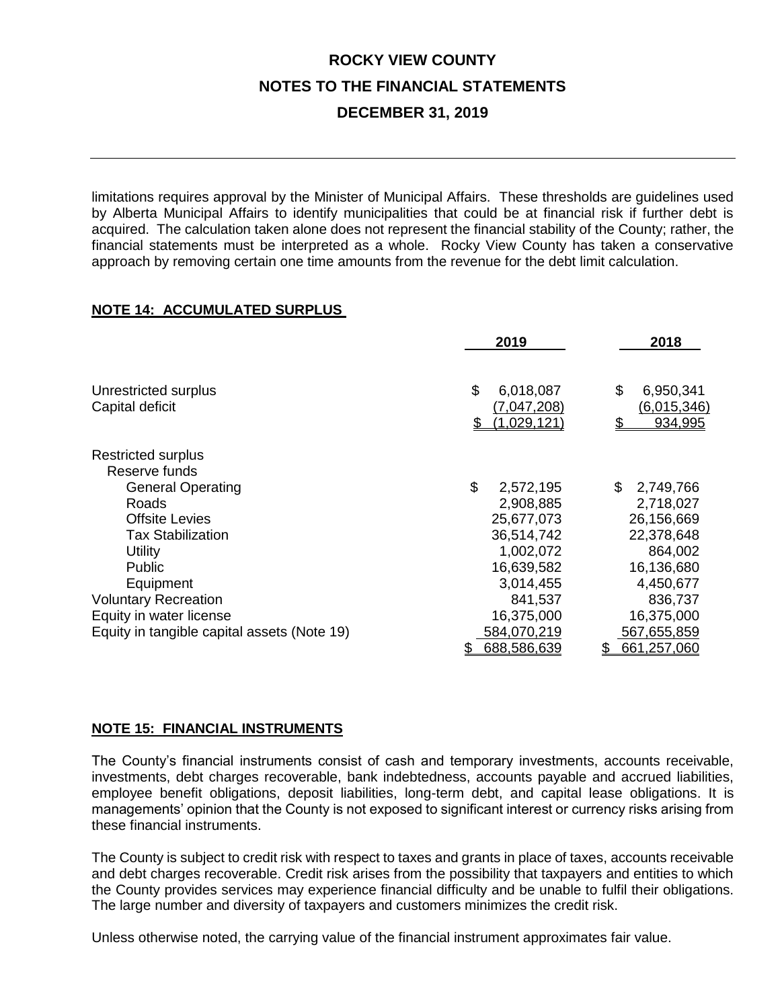limitations requires approval by the Minister of Municipal Affairs. These thresholds are guidelines used by Alberta Municipal Affairs to identify municipalities that could be at financial risk if further debt is acquired. The calculation taken alone does not represent the financial stability of the County; rather, the financial statements must be interpreted as a whole. Rocky View County has taken a conservative approach by removing certain one time amounts from the revenue for the debt limit calculation.

# **NOTE 14: ACCUMULATED SURPLUS**

|                                             | 2019                                                 | 2018                                      |
|---------------------------------------------|------------------------------------------------------|-------------------------------------------|
| Unrestricted surplus<br>Capital deficit     | \$<br>6,018,087<br>(7,047,208)<br><u>(1,029,121)</u> | \$<br>6,950,341<br>(6,015,346)<br>934,995 |
| Restricted surplus                          |                                                      |                                           |
| Reserve funds                               |                                                      |                                           |
| <b>General Operating</b>                    | \$<br>2,572,195                                      | \$<br>2,749,766                           |
| Roads                                       | 2,908,885                                            | 2,718,027                                 |
| <b>Offsite Levies</b>                       | 25,677,073                                           | 26,156,669                                |
| <b>Tax Stabilization</b>                    | 36,514,742                                           | 22,378,648                                |
| Utility                                     | 1,002,072                                            | 864,002                                   |
| <b>Public</b>                               | 16,639,582                                           | 16,136,680                                |
| Equipment                                   | 3,014,455                                            | 4,450,677                                 |
| <b>Voluntary Recreation</b>                 | 841,537                                              | 836,737                                   |
| Equity in water license                     | 16,375,000                                           | 16,375,000                                |
| Equity in tangible capital assets (Note 19) | 584,070,219                                          | 567,655,859                               |
|                                             | 688,586,639                                          | 661,257,060                               |

#### **NOTE 15: FINANCIAL INSTRUMENTS**

The County's financial instruments consist of cash and temporary investments, accounts receivable, investments, debt charges recoverable, bank indebtedness, accounts payable and accrued liabilities, employee benefit obligations, deposit liabilities, long-term debt, and capital lease obligations. It is managements' opinion that the County is not exposed to significant interest or currency risks arising from these financial instruments.

The County is subject to credit risk with respect to taxes and grants in place of taxes, accounts receivable and debt charges recoverable. Credit risk arises from the possibility that taxpayers and entities to which the County provides services may experience financial difficulty and be unable to fulfil their obligations. The large number and diversity of taxpayers and customers minimizes the credit risk.

Unless otherwise noted, the carrying value of the financial instrument approximates fair value.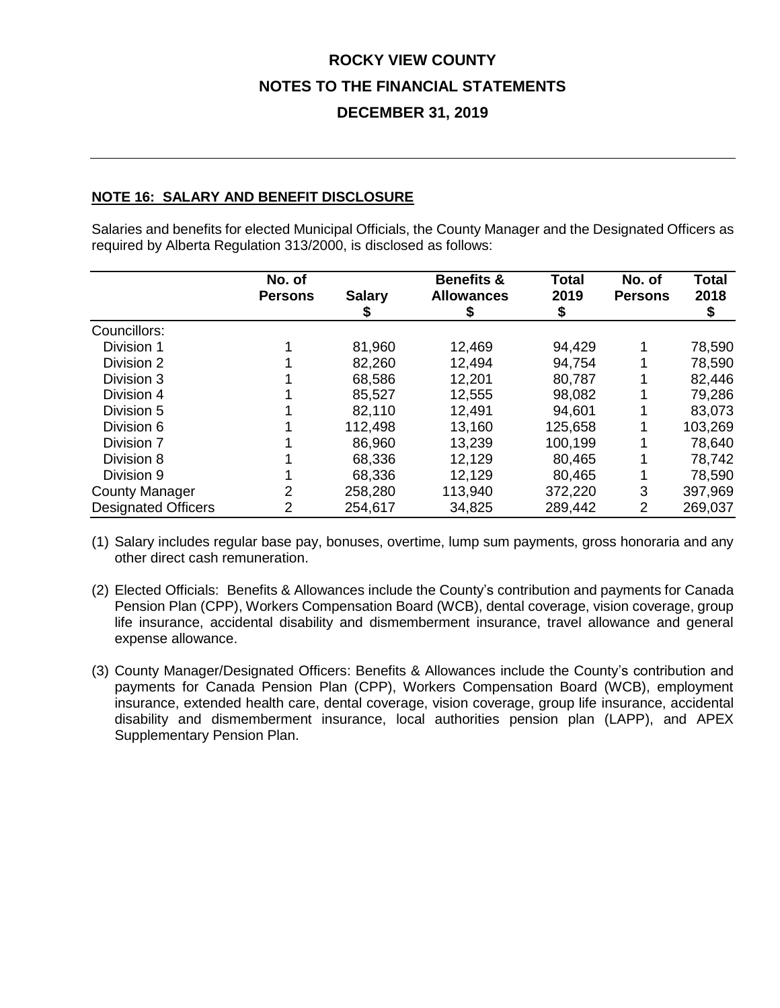## **NOTE 16: SALARY AND BENEFIT DISCLOSURE**

Salaries and benefits for elected Municipal Officials, the County Manager and the Designated Officers as required by Alberta Regulation 313/2000, is disclosed as follows:

|                            | No. of         |               | <b>Benefits &amp;</b> | <b>Total</b> | No. of         | <b>Total</b> |
|----------------------------|----------------|---------------|-----------------------|--------------|----------------|--------------|
|                            | <b>Persons</b> | <b>Salary</b> | <b>Allowances</b>     | 2019         | <b>Persons</b> | 2018         |
|                            |                |               |                       |              |                | \$           |
| Councillors:               |                |               |                       |              |                |              |
| Division 1                 |                | 81,960        | 12,469                | 94,429       | 1              | 78,590       |
| Division 2                 |                | 82,260        | 12,494                | 94,754       |                | 78,590       |
| Division 3                 |                | 68,586        | 12,201                | 80,787       |                | 82,446       |
| Division 4                 |                | 85,527        | 12,555                | 98,082       |                | 79,286       |
| Division 5                 |                | 82,110        | 12,491                | 94,601       |                | 83,073       |
| Division 6                 |                | 112,498       | 13,160                | 125,658      |                | 103,269      |
| Division 7                 |                | 86,960        | 13,239                | 100,199      |                | 78,640       |
| Division 8                 |                | 68,336        | 12,129                | 80,465       |                | 78,742       |
| Division 9                 |                | 68,336        | 12,129                | 80,465       |                | 78,590       |
| <b>County Manager</b>      | 2              | 258,280       | 113,940               | 372,220      | 3              | 397,969      |
| <b>Designated Officers</b> | $\overline{2}$ | 254,617       | 34,825                | 289,442      | 2              | 269,037      |

(1) Salary includes regular base pay, bonuses, overtime, lump sum payments, gross honoraria and any other direct cash remuneration.

- (2) Elected Officials: Benefits & Allowances include the County's contribution and payments for Canada Pension Plan (CPP), Workers Compensation Board (WCB), dental coverage, vision coverage, group life insurance, accidental disability and dismemberment insurance, travel allowance and general expense allowance.
- (3) County Manager/Designated Officers: Benefits & Allowances include the County's contribution and payments for Canada Pension Plan (CPP), Workers Compensation Board (WCB), employment insurance, extended health care, dental coverage, vision coverage, group life insurance, accidental disability and dismemberment insurance, local authorities pension plan (LAPP), and APEX Supplementary Pension Plan.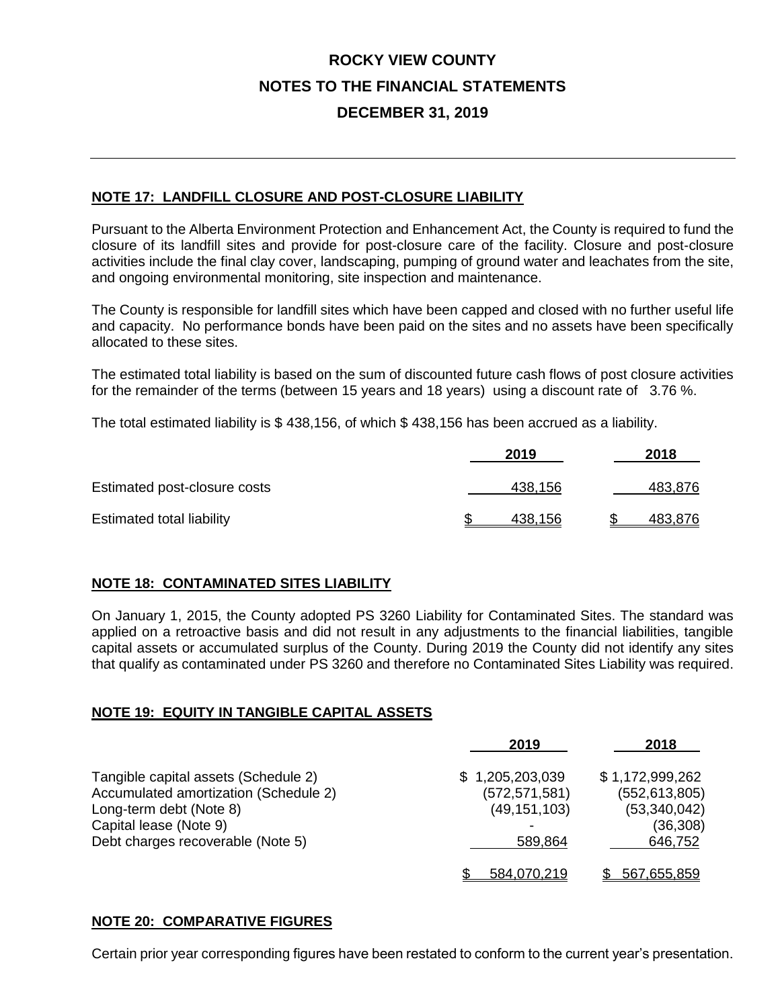# **NOTE 17: LANDFILL CLOSURE AND POST-CLOSURE LIABILITY**

Pursuant to the Alberta Environment Protection and Enhancement Act, the County is required to fund the closure of its landfill sites and provide for post-closure care of the facility. Closure and post-closure activities include the final clay cover, landscaping, pumping of ground water and leachates from the site, and ongoing environmental monitoring, site inspection and maintenance.

The County is responsible for landfill sites which have been capped and closed with no further useful life and capacity. No performance bonds have been paid on the sites and no assets have been specifically allocated to these sites.

The estimated total liability is based on the sum of discounted future cash flows of post closure activities for the remainder of the terms (between 15 years and 18 years) using a discount rate of 3.76 %.

The total estimated liability is \$ 438,156, of which \$ 438,156 has been accrued as a liability.

|                              | 2019 |         | 2018    |  |
|------------------------------|------|---------|---------|--|
| Estimated post-closure costs |      | 438,156 | 483,876 |  |
| Estimated total liability    |      | 438.156 | 483,876 |  |

# **NOTE 18: CONTAMINATED SITES LIABILITY**

On January 1, 2015, the County adopted PS 3260 Liability for Contaminated Sites. The standard was applied on a retroactive basis and did not result in any adjustments to the financial liabilities, tangible capital assets or accumulated surplus of the County. During 2019 the County did not identify any sites that qualify as contaminated under PS 3260 and therefore no Contaminated Sites Liability was required.

# **NOTE 19: EQUITY IN TANGIBLE CAPITAL ASSETS**

|                                       | 2019            | 2018            |
|---------------------------------------|-----------------|-----------------|
| Tangible capital assets (Schedule 2)  | \$1,205,203,039 | \$1,172,999,262 |
| Accumulated amortization (Schedule 2) | (572, 571, 581) | (552, 613, 805) |
| Long-term debt (Note 8)               | (49, 151, 103)  | (53,340,042)    |
| Capital lease (Note 9)                | -               | (36, 308)       |
| Debt charges recoverable (Note 5)     | 589,864         | 646,752         |
|                                       | 584,070,219     | 567,655,859     |

# **NOTE 20: COMPARATIVE FIGURES**

Certain prior year corresponding figures have been restated to conform to the current year's presentation.